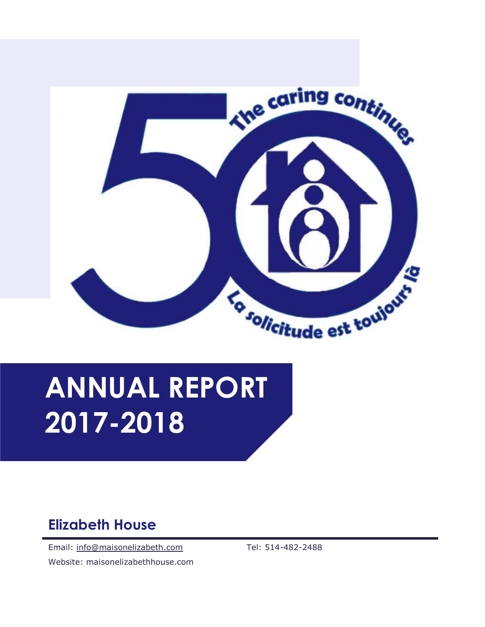

# ANNUAL REPORT 2017-2018

## Elizabeth House

Email: info@maisonelizabeth.com Website: maisonelizabethhouse.com Tel: 514-482-2488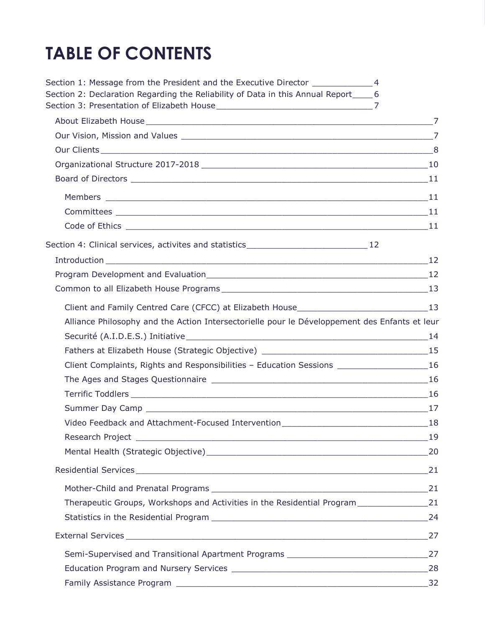## TABLE OF CONTENTS

| Section 1: Message from the President and the Executive Director ________________4                                                                                                                                                                                                                                                                                                                                                                                                                                                                         |  |
|------------------------------------------------------------------------------------------------------------------------------------------------------------------------------------------------------------------------------------------------------------------------------------------------------------------------------------------------------------------------------------------------------------------------------------------------------------------------------------------------------------------------------------------------------------|--|
| Section 2: Declaration Regarding the Reliability of Data in this Annual Report_____6                                                                                                                                                                                                                                                                                                                                                                                                                                                                       |  |
|                                                                                                                                                                                                                                                                                                                                                                                                                                                                                                                                                            |  |
|                                                                                                                                                                                                                                                                                                                                                                                                                                                                                                                                                            |  |
|                                                                                                                                                                                                                                                                                                                                                                                                                                                                                                                                                            |  |
|                                                                                                                                                                                                                                                                                                                                                                                                                                                                                                                                                            |  |
|                                                                                                                                                                                                                                                                                                                                                                                                                                                                                                                                                            |  |
|                                                                                                                                                                                                                                                                                                                                                                                                                                                                                                                                                            |  |
|                                                                                                                                                                                                                                                                                                                                                                                                                                                                                                                                                            |  |
|                                                                                                                                                                                                                                                                                                                                                                                                                                                                                                                                                            |  |
|                                                                                                                                                                                                                                                                                                                                                                                                                                                                                                                                                            |  |
|                                                                                                                                                                                                                                                                                                                                                                                                                                                                                                                                                            |  |
| $\begin{tabular}{c} Introduction \hspace{2em} \textbf{\textcolor{blue}{\textbf{[}}}} \end{tabular} \begin{tabular}{c} \textbf{\textcolor{blue}{\textbf{[}}}} \end{tabular} \begin{tabular}{c} \textbf{\textcolor{blue}{\textbf{[}}}} \end{tabular} \begin{tabular}{c} \textbf{\textcolor{blue}{\textbf{[}}}} \end{tabular} \begin{tabular}{c} \textbf{\textcolor{blue}{\textbf{[}}}} \end{tabular} \begin{tabular}{c} \textbf{\textcolor{blue}{\textbf{[}}}} \end{tabular} \begin{tabular}{c} \textbf{\textcolor{blue}{\textbf{[}}}} \end{tabular} \begin$ |  |
|                                                                                                                                                                                                                                                                                                                                                                                                                                                                                                                                                            |  |
|                                                                                                                                                                                                                                                                                                                                                                                                                                                                                                                                                            |  |
|                                                                                                                                                                                                                                                                                                                                                                                                                                                                                                                                                            |  |
| Alliance Philosophy and the Action Intersectorielle pour le Développement des Enfants et leur                                                                                                                                                                                                                                                                                                                                                                                                                                                              |  |
|                                                                                                                                                                                                                                                                                                                                                                                                                                                                                                                                                            |  |
|                                                                                                                                                                                                                                                                                                                                                                                                                                                                                                                                                            |  |
| Client Complaints, Rights and Responsibilities - Education Sessions _______________________16                                                                                                                                                                                                                                                                                                                                                                                                                                                              |  |
|                                                                                                                                                                                                                                                                                                                                                                                                                                                                                                                                                            |  |
|                                                                                                                                                                                                                                                                                                                                                                                                                                                                                                                                                            |  |
|                                                                                                                                                                                                                                                                                                                                                                                                                                                                                                                                                            |  |
| Video Feedback and Attachment-Focused Intervention_______________________________18                                                                                                                                                                                                                                                                                                                                                                                                                                                                        |  |
|                                                                                                                                                                                                                                                                                                                                                                                                                                                                                                                                                            |  |
|                                                                                                                                                                                                                                                                                                                                                                                                                                                                                                                                                            |  |
|                                                                                                                                                                                                                                                                                                                                                                                                                                                                                                                                                            |  |
|                                                                                                                                                                                                                                                                                                                                                                                                                                                                                                                                                            |  |
|                                                                                                                                                                                                                                                                                                                                                                                                                                                                                                                                                            |  |
|                                                                                                                                                                                                                                                                                                                                                                                                                                                                                                                                                            |  |
|                                                                                                                                                                                                                                                                                                                                                                                                                                                                                                                                                            |  |
|                                                                                                                                                                                                                                                                                                                                                                                                                                                                                                                                                            |  |
|                                                                                                                                                                                                                                                                                                                                                                                                                                                                                                                                                            |  |
|                                                                                                                                                                                                                                                                                                                                                                                                                                                                                                                                                            |  |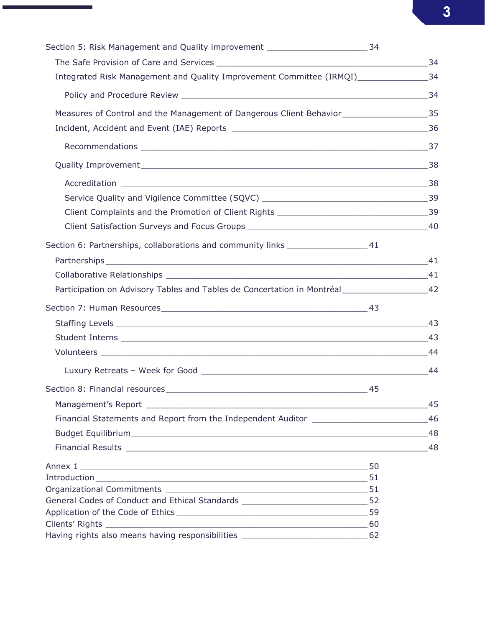| Section 5: Risk Management and Quality improvement ____________________________34                |    |
|--------------------------------------------------------------------------------------------------|----|
|                                                                                                  |    |
| Integrated Risk Management and Quality Improvement Committee (IRMQI)__________________34         |    |
|                                                                                                  |    |
| Measures of Control and the Management of Dangerous Client Behavior__________________________35  |    |
|                                                                                                  |    |
|                                                                                                  |    |
|                                                                                                  | 38 |
|                                                                                                  |    |
|                                                                                                  |    |
|                                                                                                  |    |
|                                                                                                  |    |
| Section 6: Partnerships, collaborations and community links ____________________41               |    |
|                                                                                                  | 41 |
|                                                                                                  |    |
| Participation on Advisory Tables and Tables de Concertation in Montréal_______________________42 |    |
|                                                                                                  |    |
|                                                                                                  |    |
|                                                                                                  |    |
|                                                                                                  |    |
|                                                                                                  |    |
|                                                                                                  |    |
|                                                                                                  | 45 |
| Financial Statements and Report from the Independent Auditor ___________________                 | 46 |
|                                                                                                  | 48 |
|                                                                                                  | 48 |
|                                                                                                  |    |
|                                                                                                  |    |
|                                                                                                  |    |
| General Codes of Conduct and Ethical Standards _________________________________52               |    |
|                                                                                                  |    |
|                                                                                                  |    |
| Having rights also means having responsibilities ________________________________ 62             |    |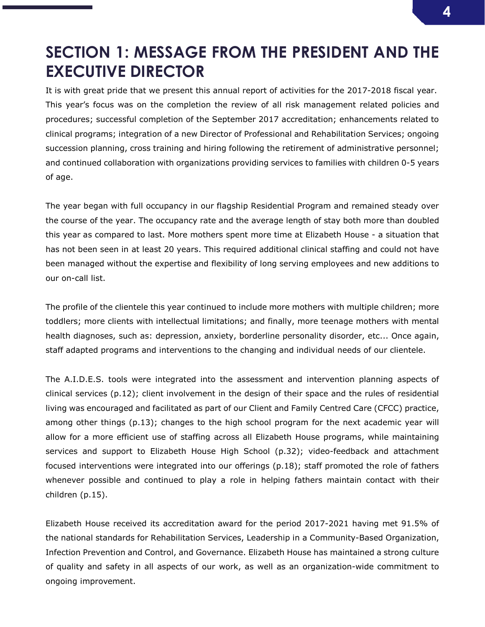## SECTION 1: MESSAGE FROM THE PRESIDENT AND THE EXECUTIVE DIRECTOR

It is with great pride that we present this annual report of activities for the 2017-2018 fiscal year. This year's focus was on the completion the review of all risk management related policies and procedures; successful completion of the September 2017 accreditation; enhancements related to clinical programs; integration of a new Director of Professional and Rehabilitation Services; ongoing succession planning, cross training and hiring following the retirement of administrative personnel; and continued collaboration with organizations providing services to families with children 0-5 years of age.

The year began with full occupancy in our flagship Residential Program and remained steady over the course of the year. The occupancy rate and the average length of stay both more than doubled this year as compared to last. More mothers spent more time at Elizabeth House - a situation that has not been seen in at least 20 years. This required additional clinical staffing and could not have been managed without the expertise and flexibility of long serving employees and new additions to our on-call list.

The profile of the clientele this year continued to include more mothers with multiple children; more toddlers; more clients with intellectual limitations; and finally, more teenage mothers with mental health diagnoses, such as: depression, anxiety, borderline personality disorder, etc... Once again, staff adapted programs and interventions to the changing and individual needs of our clientele.

The A.I.D.E.S. tools were integrated into the assessment and intervention planning aspects of clinical services (p.12); client involvement in the design of their space and the rules of residential living was encouraged and facilitated as part of our Client and Family Centred Care (CFCC) practice, among other things (p.13); changes to the high school program for the next academic year will allow for a more efficient use of staffing across all Elizabeth House programs, while maintaining services and support to Elizabeth House High School (p.32); video-feedback and attachment focused interventions were integrated into our offerings (p.18); staff promoted the role of fathers whenever possible and continued to play a role in helping fathers maintain contact with their children (p.15).

Elizabeth House received its accreditation award for the period 2017-2021 having met 91.5% of the national standards for Rehabilitation Services, Leadership in a Community-Based Organization, Infection Prevention and Control, and Governance. Elizabeth House has maintained a strong culture of quality and safety in all aspects of our work, as well as an organization-wide commitment to ongoing improvement.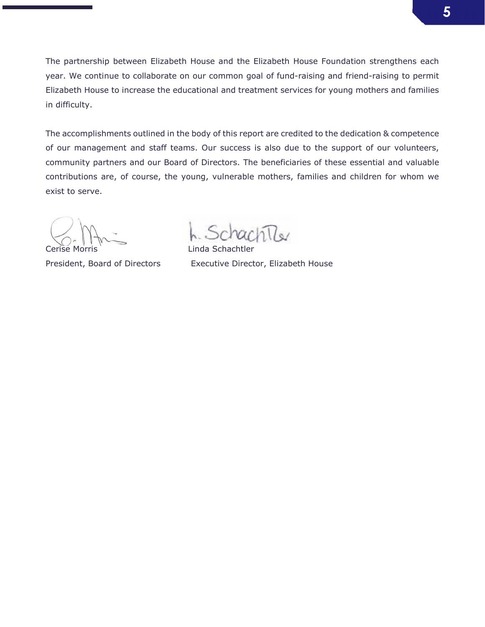The partnership between Elizabeth House and the Elizabeth House Foundation strengthens each year. We continue to collaborate on our common goal of fund-raising and friend-raising to permit Elizabeth House to increase the educational and treatment services for young mothers and families in difficulty.

The accomplishments outlined in the body of this report are credited to the dedication & competence of our management and staff teams. Our success is also due to the support of our volunteers, community partners and our Board of Directors. The beneficiaries of these essential and valuable contributions are, of course, the young, vulnerable mothers, families and children for whom we exist to serve.

 $\ln \! \mathbb{R}$ 

Cerise Morris **Linda Schachtler** President, Board of Directors Executive Director, Elizabeth House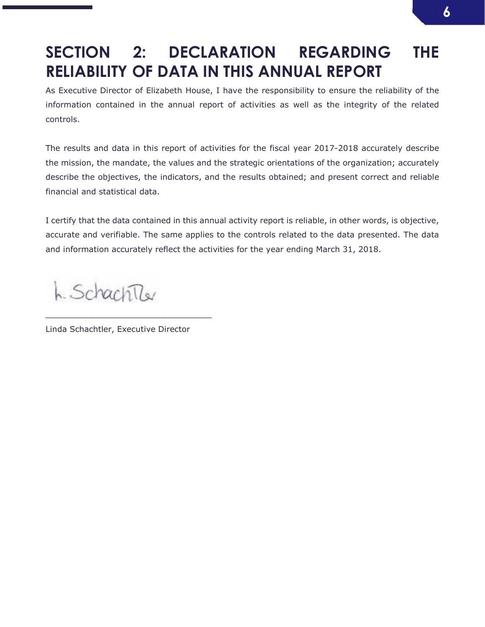## SECTION 2: DECLARATION REGARDING THE RELIABILITY OF DATA IN THIS ANNUAL REPORT

As Executive Director of Elizabeth House, I have the responsibility to ensure the reliability of the information contained in the annual report of activities as well as the integrity of the related controls.

The results and data in this report of activities for the fiscal year 2017-2018 accurately describe the mission, the mandate, the values and the strategic orientations of the organization; accurately describe the objectives, the indicators, and the results obtained; and present correct and reliable financial and statistical data.

I certify that the data contained in this annual activity report is reliable, in other words, is objective, accurate and verifiable. The same applies to the controls related to the data presented. The data and information accurately reflect the activities for the year ending March 31, 2018.

h. SchachTler

Linda Schachtler, Executive Director

\_\_\_\_\_\_\_\_\_\_\_\_\_\_\_\_\_\_\_\_\_\_\_\_\_\_\_\_\_\_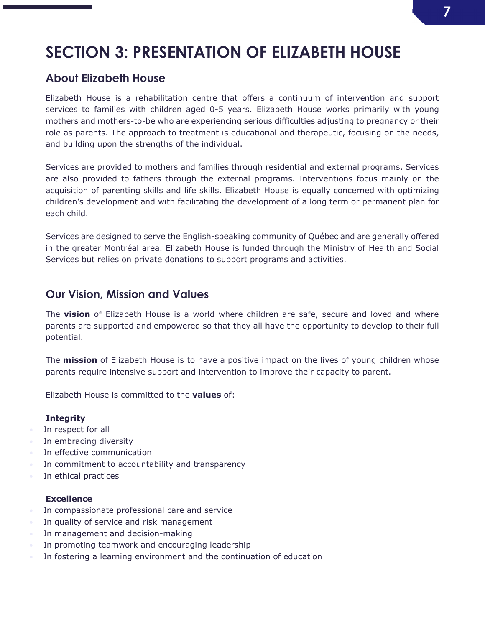## 7

## SECTION 3: PRESENTATION OF ELIZABETH HOUSE

## About Elizabeth House

Elizabeth House is a rehabilitation centre that offers a continuum of intervention and support services to families with children aged 0-5 years. Elizabeth House works primarily with young mothers and mothers-to-be who are experiencing serious difficulties adjusting to pregnancy or their role as parents. The approach to treatment is educational and therapeutic, focusing on the needs, and building upon the strengths of the individual.

Services are provided to mothers and families through residential and external programs. Services are also provided to fathers through the external programs. Interventions focus mainly on the acquisition of parenting skills and life skills. Elizabeth House is equally concerned with optimizing children's development and with facilitating the development of a long term or permanent plan for each child.

Services are designed to serve the English-speaking community of Québec and are generally offered in the greater Montréal area. Elizabeth House is funded through the Ministry of Health and Social Services but relies on private donations to support programs and activities.

### Our Vision, Mission and Values

The vision of Elizabeth House is a world where children are safe, secure and loved and where parents are supported and empowered so that they all have the opportunity to develop to their full potential.

The **mission** of Elizabeth House is to have a positive impact on the lives of young children whose parents require intensive support and intervention to improve their capacity to parent.

Elizabeth House is committed to the values of:

### **Integrity**

- In respect for all
- In embracing diversity
- In effective communication
- In commitment to accountability and transparency
- In ethical practices

### **Excellence**

- **In compassionate professional care and service**
- In quality of service and risk management
- **In management and decision-making**
- In promoting teamwork and encouraging leadership
- In fostering a learning environment and the continuation of education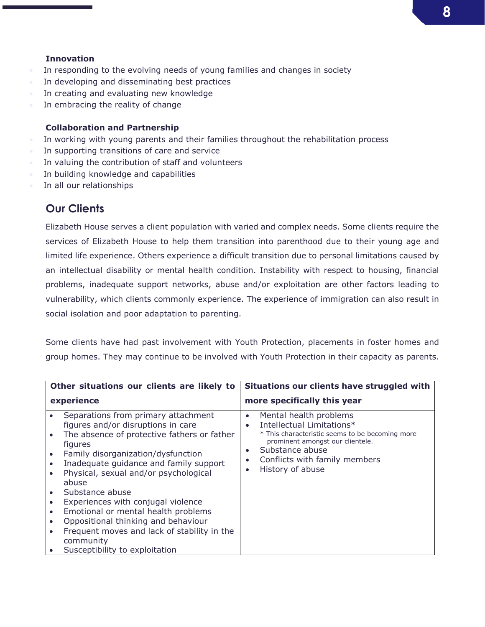### **Innovation**

- In responding to the evolving needs of young families and changes in society
- In developing and disseminating best practices
- In creating and evaluating new knowledge
- In embracing the reality of change

### Collaboration and Partnership

- In working with young parents and their families throughout the rehabilitation process
- In supporting transitions of care and service
- In valuing the contribution of staff and volunteers
- In building knowledge and capabilities
- In all our relationships

## Our Clients

Elizabeth House serves a client population with varied and complex needs. Some clients require the services of Elizabeth House to help them transition into parenthood due to their young age and limited life experience. Others experience a difficult transition due to personal limitations caused by an intellectual disability or mental health condition. Instability with respect to housing, financial problems, inadequate support networks, abuse and/or exploitation are other factors leading to vulnerability, which clients commonly experience. The experience of immigration can also result in social isolation and poor adaptation to parenting.

Some clients have had past involvement with Youth Protection, placements in foster homes and group homes. They may continue to be involved with Youth Protection in their capacity as parents.

|                                                                                         | Other situations our clients are likely to                                                                                                                                                                                                                                                                                                                                                                                                                                                                 | Situations our clients have struggled with                                                                                                                                                                                                                                          |
|-----------------------------------------------------------------------------------------|------------------------------------------------------------------------------------------------------------------------------------------------------------------------------------------------------------------------------------------------------------------------------------------------------------------------------------------------------------------------------------------------------------------------------------------------------------------------------------------------------------|-------------------------------------------------------------------------------------------------------------------------------------------------------------------------------------------------------------------------------------------------------------------------------------|
|                                                                                         | experience                                                                                                                                                                                                                                                                                                                                                                                                                                                                                                 | more specifically this year                                                                                                                                                                                                                                                         |
| $\bullet$<br>$\bullet$<br>$\bullet$<br>$\bullet$<br>$\bullet$<br>$\bullet$<br>$\bullet$ | Separations from primary attachment<br>figures and/or disruptions in care<br>The absence of protective fathers or father<br>figures<br>Family disorganization/dysfunction<br>Inadequate guidance and family support<br>Physical, sexual and/or psychological<br>abuse<br>Substance abuse<br>Experiences with conjugal violence<br>Emotional or mental health problems<br>Oppositional thinking and behaviour<br>Frequent moves and lack of stability in the<br>community<br>Susceptibility to exploitation | Mental health problems<br>$\bullet$<br>Intellectual Limitations*<br>$\bullet$<br>* This characteristic seems to be becoming more<br>prominent amongst our clientele.<br>Substance abuse<br>$\bullet$<br>Conflicts with family members<br>$\bullet$<br>History of abuse<br>$\bullet$ |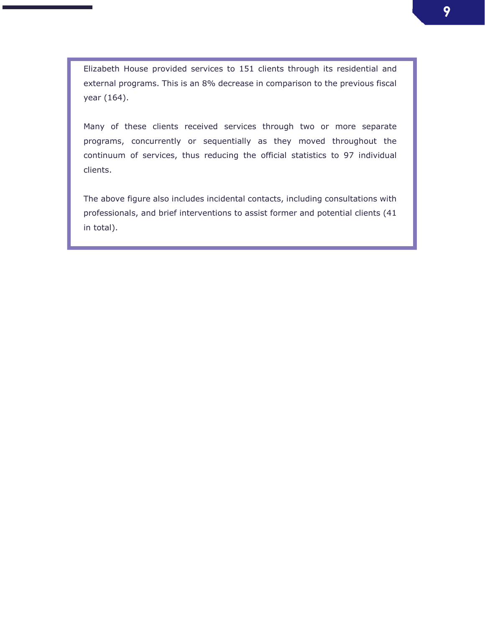Elizabeth House provided services to 151 clients through its residential and external programs. This is an 8% decrease in comparison to the previous fiscal year (164).

Many of these clients received services through two or more separate programs, concurrently or sequentially as they moved throughout the continuum of services, thus reducing the official statistics to 97 individual clients.

The above figure also includes incidental contacts, including consultations with professionals, and brief interventions to assist former and potential clients (41 in total).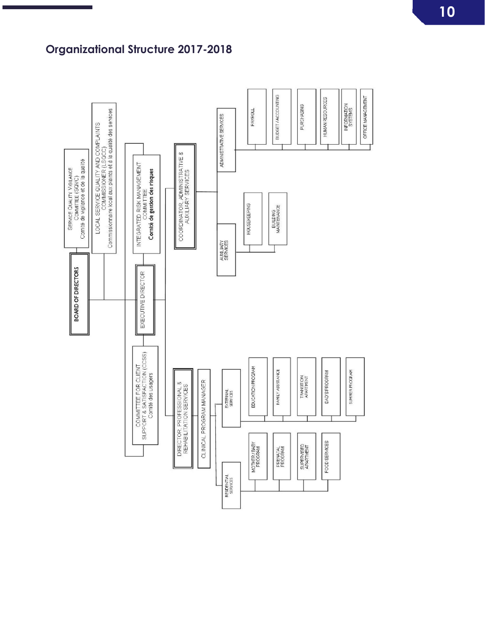## Organizational Structure 2017-2018

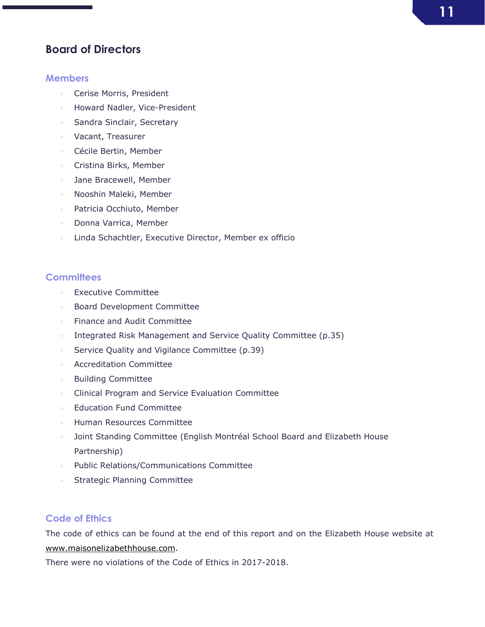### Board of Directors

### **Members**

- **Cerise Morris, President**
- **Howard Nadler, Vice-President**
- **Sandra Sinclair, Secretary**
- **Vacant, Treasurer**
- Cécile Bertin, Member
- **Cristina Birks, Member**
- **Jane Bracewell, Member**
- Nooshin Maleki, Member
- **•** Patricia Occhiuto, Member
- **Donna Varrica, Member**
- **Linda Schachtler, Executive Director, Member ex officio**

### **Committees**

- **Executive Committee**
- **Board Development Committee**
- **Finance and Audit Committee**
- Integrated Risk Management and Service Quality Committee (p.35)
- **Service Quality and Vigilance Committee (p.39)**
- **Accreditation Committee**
- **Building Committee**
- **Clinical Program and Service Evaluation Committee**
- **Education Fund Committee**
- Human Resources Committee
- **Joint Standing Committee (English Montréal School Board and Elizabeth House** Partnership)
- **Public Relations/Communications Committee**
- **Strategic Planning Committee**

### Code of Ethics

The code of ethics can be found at the end of this report and on the Elizabeth House website at www.maisonelizabethhouse.com.

There were no violations of the Code of Ethics in 2017-2018.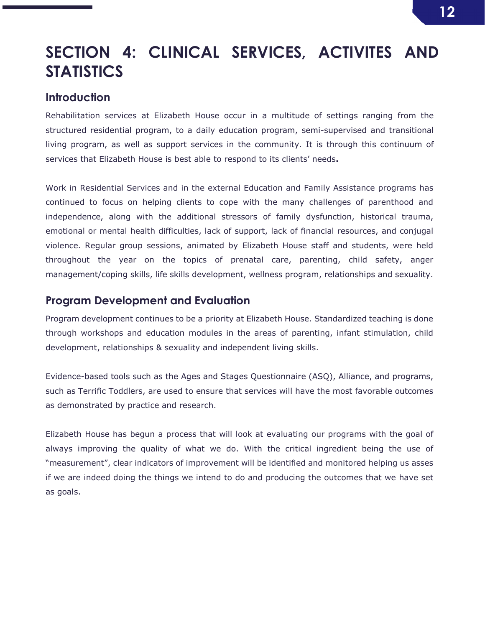## SECTION 4: CLINICAL SERVICES, ACTIVITES AND **STATISTICS**

### **Introduction**

Rehabilitation services at Elizabeth House occur in a multitude of settings ranging from the structured residential program, to a daily education program, semi-supervised and transitional living program, as well as support services in the community. It is through this continuum of services that Elizabeth House is best able to respond to its clients' needs.

Work in Residential Services and in the external Education and Family Assistance programs has continued to focus on helping clients to cope with the many challenges of parenthood and independence, along with the additional stressors of family dysfunction, historical trauma, emotional or mental health difficulties, lack of support, lack of financial resources, and conjugal violence. Regular group sessions, animated by Elizabeth House staff and students, were held throughout the year on the topics of prenatal care, parenting, child safety, anger management/coping skills, life skills development, wellness program, relationships and sexuality.

### Program Development and Evaluation

Program development continues to be a priority at Elizabeth House. Standardized teaching is done through workshops and education modules in the areas of parenting, infant stimulation, child development, relationships & sexuality and independent living skills.

Evidence-based tools such as the Ages and Stages Questionnaire (ASQ), Alliance, and programs, such as Terrific Toddlers, are used to ensure that services will have the most favorable outcomes as demonstrated by practice and research.

Elizabeth House has begun a process that will look at evaluating our programs with the goal of always improving the quality of what we do. With the critical ingredient being the use of "measurement", clear indicators of improvement will be identified and monitored helping us asses if we are indeed doing the things we intend to do and producing the outcomes that we have set as goals.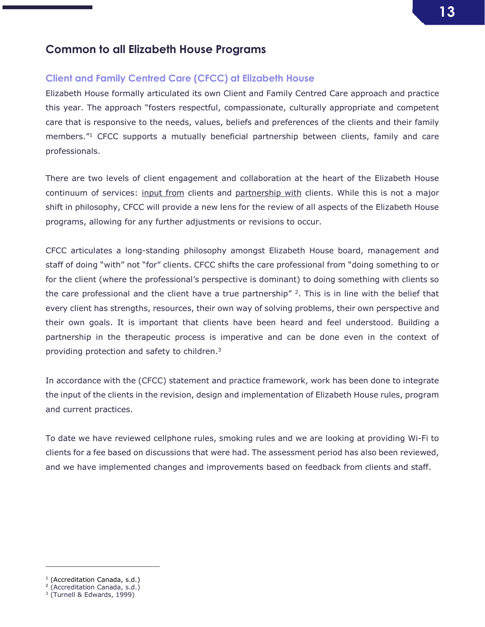### Common to all Elizabeth House Programs

### Client and Family Centred Care (CFCC) at Elizabeth House

Elizabeth House formally articulated its own Client and Family Centred Care approach and practice this year. The approach "fosters respectful, compassionate, culturally appropriate and competent care that is responsive to the needs, values, beliefs and preferences of the clients and their family members."<sup>1</sup> CFCC supports a mutually beneficial partnership between clients, family and care professionals.

There are two levels of client engagement and collaboration at the heart of the Elizabeth House continuum of services: input from clients and partnership with clients. While this is not a major shift in philosophy, CFCC will provide a new lens for the review of all aspects of the Elizabeth House programs, allowing for any further adjustments or revisions to occur.

CFCC articulates a long-standing philosophy amongst Elizabeth House board, management and staff of doing "with" not "for" clients. CFCC shifts the care professional from "doing something to or for the client (where the professional's perspective is dominant) to doing something with clients so the care professional and the client have a true partnership"  $2$ . This is in line with the belief that every client has strengths, resources, their own way of solving problems, their own perspective and their own goals. It is important that clients have been heard and feel understood. Building a partnership in the therapeutic process is imperative and can be done even in the context of providing protection and safety to children.3

In accordance with the (CFCC) statement and practice framework, work has been done to integrate the input of the clients in the revision, design and implementation of Elizabeth House rules, program and current practices.

To date we have reviewed cellphone rules, smoking rules and we are looking at providing Wi-Fi to clients for a fee based on discussions that were had. The assessment period has also been reviewed, and we have implemented changes and improvements based on feedback from clients and staff.

j

<sup>&</sup>lt;sup>1</sup> (Accreditation Canada, s.d.)

<sup>2</sup> (Accreditation Canada, s.d.)

 $3$  (Turnell & Edwards, 1999)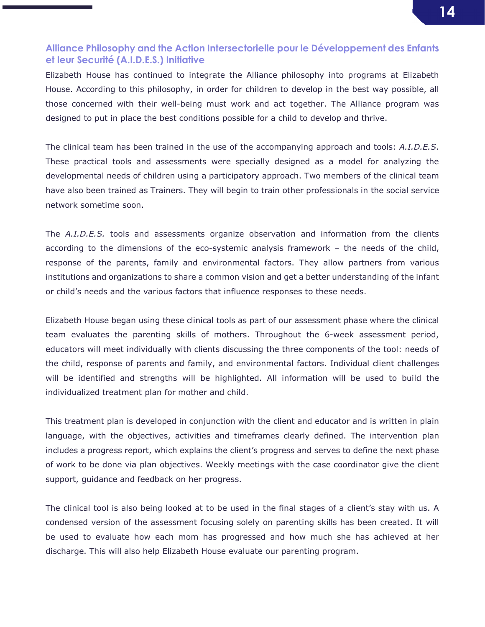### Alliance Philosophy and the Action Intersectorielle pour le Développement des Enfants et leur Securité (A.I.D.E.S.) Initiative

Elizabeth House has continued to integrate the Alliance philosophy into programs at Elizabeth House. According to this philosophy, in order for children to develop in the best way possible, all those concerned with their well-being must work and act together. The Alliance program was designed to put in place the best conditions possible for a child to develop and thrive.

The clinical team has been trained in the use of the accompanying approach and tools: *A.I.D.E.S*. These practical tools and assessments were specially designed as a model for analyzing the developmental needs of children using a participatory approach. Two members of the clinical team have also been trained as Trainers. They will begin to train other professionals in the social service network sometime soon.

The *A.I.D.E.S.* tools and assessments organize observation and information from the clients according to the dimensions of the eco-systemic analysis framework – the needs of the child, response of the parents, family and environmental factors. They allow partners from various institutions and organizations to share a common vision and get a better understanding of the infant or child's needs and the various factors that influence responses to these needs.

Elizabeth House began using these clinical tools as part of our assessment phase where the clinical team evaluates the parenting skills of mothers. Throughout the 6-week assessment period, educators will meet individually with clients discussing the three components of the tool: needs of the child, response of parents and family, and environmental factors. Individual client challenges will be identified and strengths will be highlighted. All information will be used to build the individualized treatment plan for mother and child.

This treatment plan is developed in conjunction with the client and educator and is written in plain language, with the objectives, activities and timeframes clearly defined. The intervention plan includes a progress report, which explains the client's progress and serves to define the next phase of work to be done via plan objectives. Weekly meetings with the case coordinator give the client support, guidance and feedback on her progress.

The clinical tool is also being looked at to be used in the final stages of a client's stay with us. A condensed version of the assessment focusing solely on parenting skills has been created. It will be used to evaluate how each mom has progressed and how much she has achieved at her discharge. This will also help Elizabeth House evaluate our parenting program.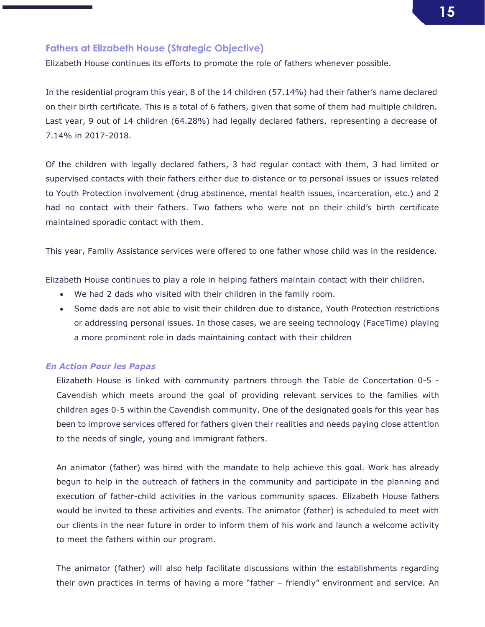## 15

### Fathers at Elizabeth House (Strategic Objective)

Elizabeth House continues its efforts to promote the role of fathers whenever possible.

In the residential program this year, 8 of the 14 children (57.14%) had their father's name declared on their birth certificate. This is a total of 6 fathers, given that some of them had multiple children. Last year, 9 out of 14 children (64.28%) had legally declared fathers, representing a decrease of 7.14% in 2017-2018.

Of the children with legally declared fathers, 3 had regular contact with them, 3 had limited or supervised contacts with their fathers either due to distance or to personal issues or issues related to Youth Protection involvement (drug abstinence, mental health issues, incarceration, etc.) and 2 had no contact with their fathers. Two fathers who were not on their child's birth certificate maintained sporadic contact with them.

This year, Family Assistance services were offered to one father whose child was in the residence.

Elizabeth House continues to play a role in helping fathers maintain contact with their children.

- We had 2 dads who visited with their children in the family room.
- Some dads are not able to visit their children due to distance, Youth Protection restrictions or addressing personal issues. In those cases, we are seeing technology (FaceTime) playing a more prominent role in dads maintaining contact with their children

#### *En Action Pour les Papas*

Elizabeth House is linked with community partners through the Table de Concertation 0-5 - Cavendish which meets around the goal of providing relevant services to the families with children ages 0-5 within the Cavendish community. One of the designated goals for this year has been to improve services offered for fathers given their realities and needs paying close attention to the needs of single, young and immigrant fathers.

An animator (father) was hired with the mandate to help achieve this goal. Work has already begun to help in the outreach of fathers in the community and participate in the planning and execution of father-child activities in the various community spaces. Elizabeth House fathers would be invited to these activities and events. The animator (father) is scheduled to meet with our clients in the near future in order to inform them of his work and launch a welcome activity to meet the fathers within our program.

The animator (father) will also help facilitate discussions within the establishments regarding their own practices in terms of having a more "father – friendly" environment and service. An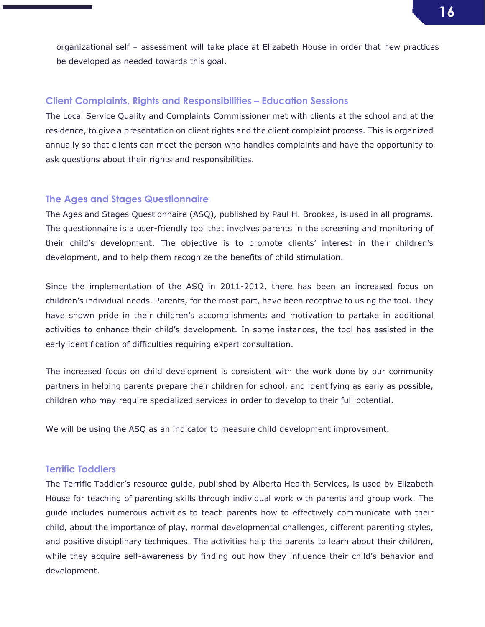organizational self – assessment will take place at Elizabeth House in order that new practices be developed as needed towards this goal.

### Client Complaints, Rights and Responsibilities – Education Sessions

The Local Service Quality and Complaints Commissioner met with clients at the school and at the residence, to give a presentation on client rights and the client complaint process. This is organized annually so that clients can meet the person who handles complaints and have the opportunity to ask questions about their rights and responsibilities.

### The Ages and Stages Questionnaire

The Ages and Stages Questionnaire (ASQ), published by Paul H. Brookes, is used in all programs. The questionnaire is a user-friendly tool that involves parents in the screening and monitoring of their child's development. The objective is to promote clients' interest in their children's development, and to help them recognize the benefits of child stimulation.

Since the implementation of the ASQ in 2011-2012, there has been an increased focus on children's individual needs. Parents, for the most part, have been receptive to using the tool. They have shown pride in their children's accomplishments and motivation to partake in additional activities to enhance their child's development. In some instances, the tool has assisted in the early identification of difficulties requiring expert consultation.

The increased focus on child development is consistent with the work done by our community partners in helping parents prepare their children for school, and identifying as early as possible, children who may require specialized services in order to develop to their full potential.

We will be using the ASQ as an indicator to measure child development improvement.

### Terrific Toddlers

The Terrific Toddler's resource guide, published by Alberta Health Services, is used by Elizabeth House for teaching of parenting skills through individual work with parents and group work. The guide includes numerous activities to teach parents how to effectively communicate with their child, about the importance of play, normal developmental challenges, different parenting styles, and positive disciplinary techniques. The activities help the parents to learn about their children, while they acquire self-awareness by finding out how they influence their child's behavior and development.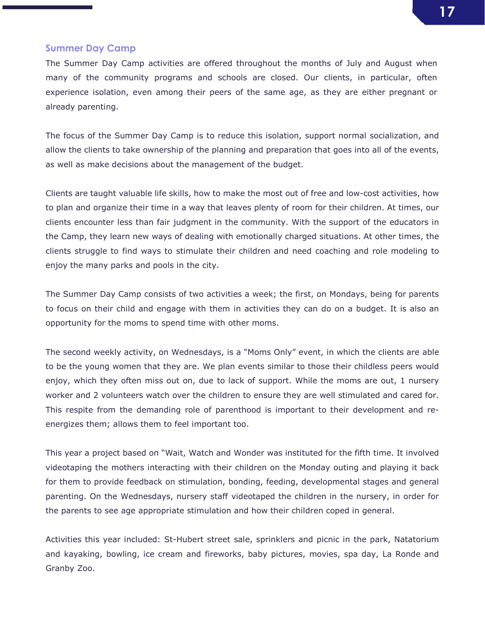## 17

### Summer Day Camp

The Summer Day Camp activities are offered throughout the months of July and August when many of the community programs and schools are closed. Our clients, in particular, often experience isolation, even among their peers of the same age, as they are either pregnant or already parenting.

The focus of the Summer Day Camp is to reduce this isolation, support normal socialization, and allow the clients to take ownership of the planning and preparation that goes into all of the events, as well as make decisions about the management of the budget.

Clients are taught valuable life skills, how to make the most out of free and low-cost activities, how to plan and organize their time in a way that leaves plenty of room for their children. At times, our clients encounter less than fair judgment in the community. With the support of the educators in the Camp, they learn new ways of dealing with emotionally charged situations. At other times, the clients struggle to find ways to stimulate their children and need coaching and role modeling to enjoy the many parks and pools in the city.

The Summer Day Camp consists of two activities a week; the first, on Mondays, being for parents to focus on their child and engage with them in activities they can do on a budget. It is also an opportunity for the moms to spend time with other moms.

The second weekly activity, on Wednesdays, is a "Moms Only" event, in which the clients are able to be the young women that they are. We plan events similar to those their childless peers would enjoy, which they often miss out on, due to lack of support. While the moms are out, 1 nursery worker and 2 volunteers watch over the children to ensure they are well stimulated and cared for. This respite from the demanding role of parenthood is important to their development and reenergizes them; allows them to feel important too.

This year a project based on "Wait, Watch and Wonder was instituted for the fifth time. It involved videotaping the mothers interacting with their children on the Monday outing and playing it back for them to provide feedback on stimulation, bonding, feeding, developmental stages and general parenting. On the Wednesdays, nursery staff videotaped the children in the nursery, in order for the parents to see age appropriate stimulation and how their children coped in general.

Activities this year included: St-Hubert street sale, sprinklers and picnic in the park, Natatorium and kayaking, bowling, ice cream and fireworks, baby pictures, movies, spa day, La Ronde and Granby Zoo.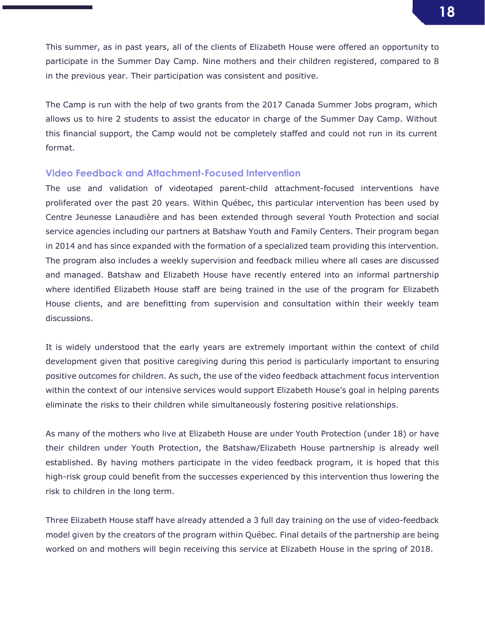This summer, as in past years, all of the clients of Elizabeth House were offered an opportunity to participate in the Summer Day Camp. Nine mothers and their children registered, compared to 8 in the previous year. Their participation was consistent and positive.

The Camp is run with the help of two grants from the 2017 Canada Summer Jobs program, which allows us to hire 2 students to assist the educator in charge of the Summer Day Camp. Without this financial support, the Camp would not be completely staffed and could not run in its current format.

### Video Feedback and Attachment-Focused Intervention

The use and validation of videotaped parent-child attachment-focused interventions have proliferated over the past 20 years. Within Québec, this particular intervention has been used by Centre Jeunesse Lanaudière and has been extended through several Youth Protection and social service agencies including our partners at Batshaw Youth and Family Centers. Their program began in 2014 and has since expanded with the formation of a specialized team providing this intervention. The program also includes a weekly supervision and feedback milieu where all cases are discussed and managed. Batshaw and Elizabeth House have recently entered into an informal partnership where identified Elizabeth House staff are being trained in the use of the program for Elizabeth House clients, and are benefitting from supervision and consultation within their weekly team discussions.

It is widely understood that the early years are extremely important within the context of child development given that positive caregiving during this period is particularly important to ensuring positive outcomes for children. As such, the use of the video feedback attachment focus intervention within the context of our intensive services would support Elizabeth House's goal in helping parents eliminate the risks to their children while simultaneously fostering positive relationships.

As many of the mothers who live at Elizabeth House are under Youth Protection (under 18) or have their children under Youth Protection, the Batshaw/Elizabeth House partnership is already well established. By having mothers participate in the video feedback program, it is hoped that this high-risk group could benefit from the successes experienced by this intervention thus lowering the risk to children in the long term.

Three Elizabeth House staff have already attended a 3 full day training on the use of video-feedback model given by the creators of the program within Québec. Final details of the partnership are being worked on and mothers will begin receiving this service at Elizabeth House in the spring of 2018.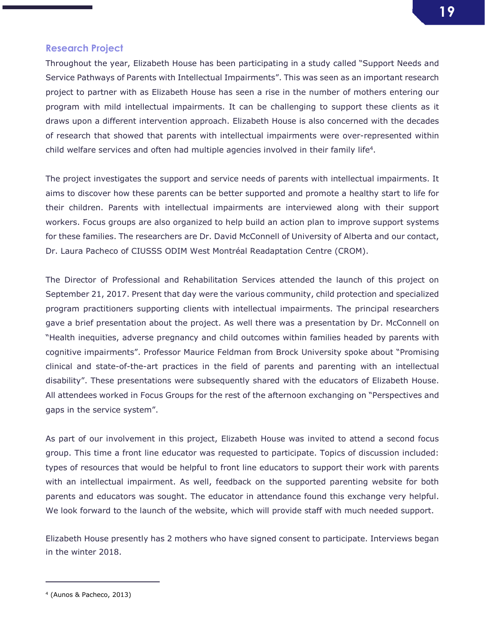### Research Project

Throughout the year, Elizabeth House has been participating in a study called "Support Needs and Service Pathways of Parents with Intellectual Impairments". This was seen as an important research project to partner with as Elizabeth House has seen a rise in the number of mothers entering our program with mild intellectual impairments. It can be challenging to support these clients as it draws upon a different intervention approach. Elizabeth House is also concerned with the decades of research that showed that parents with intellectual impairments were over-represented within child welfare services and often had multiple agencies involved in their family life4.

The project investigates the support and service needs of parents with intellectual impairments. It aims to discover how these parents can be better supported and promote a healthy start to life for their children. Parents with intellectual impairments are interviewed along with their support workers. Focus groups are also organized to help build an action plan to improve support systems for these families. The researchers are Dr. David McConnell of University of Alberta and our contact, Dr. Laura Pacheco of CIUSSS ODIM West Montréal Readaptation Centre (CROM).

The Director of Professional and Rehabilitation Services attended the launch of this project on September 21, 2017. Present that day were the various community, child protection and specialized program practitioners supporting clients with intellectual impairments. The principal researchers gave a brief presentation about the project. As well there was a presentation by Dr. McConnell on "Health inequities, adverse pregnancy and child outcomes within families headed by parents with cognitive impairments". Professor Maurice Feldman from Brock University spoke about "Promising clinical and state-of-the-art practices in the field of parents and parenting with an intellectual disability". These presentations were subsequently shared with the educators of Elizabeth House. All attendees worked in Focus Groups for the rest of the afternoon exchanging on "Perspectives and gaps in the service system".

As part of our involvement in this project, Elizabeth House was invited to attend a second focus group. This time a front line educator was requested to participate. Topics of discussion included: types of resources that would be helpful to front line educators to support their work with parents with an intellectual impairment. As well, feedback on the supported parenting website for both parents and educators was sought. The educator in attendance found this exchange very helpful. We look forward to the launch of the website, which will provide staff with much needed support.

Elizabeth House presently has 2 mothers who have signed consent to participate. Interviews began in the winter 2018.

j

<sup>4</sup> (Aunos & Pacheco, 2013)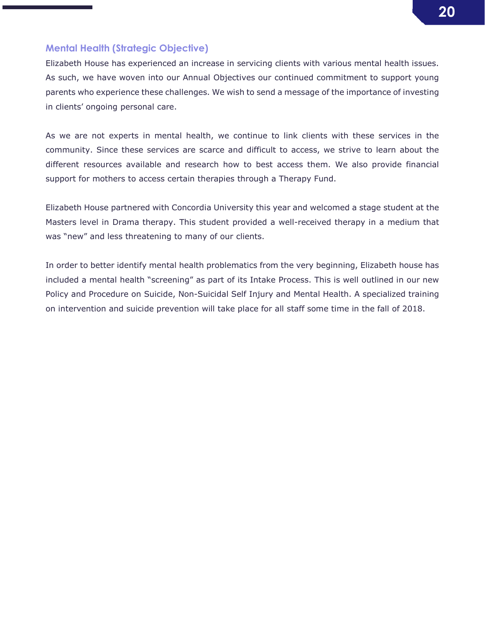### Mental Health (Strategic Objective)

Elizabeth House has experienced an increase in servicing clients with various mental health issues. As such, we have woven into our Annual Objectives our continued commitment to support young parents who experience these challenges. We wish to send a message of the importance of investing in clients' ongoing personal care.

As we are not experts in mental health, we continue to link clients with these services in the community. Since these services are scarce and difficult to access, we strive to learn about the different resources available and research how to best access them. We also provide financial support for mothers to access certain therapies through a Therapy Fund.

Elizabeth House partnered with Concordia University this year and welcomed a stage student at the Masters level in Drama therapy. This student provided a well-received therapy in a medium that was "new" and less threatening to many of our clients.

In order to better identify mental health problematics from the very beginning, Elizabeth house has included a mental health "screening" as part of its Intake Process. This is well outlined in our new Policy and Procedure on Suicide, Non-Suicidal Self Injury and Mental Health. A specialized training on intervention and suicide prevention will take place for all staff some time in the fall of 2018.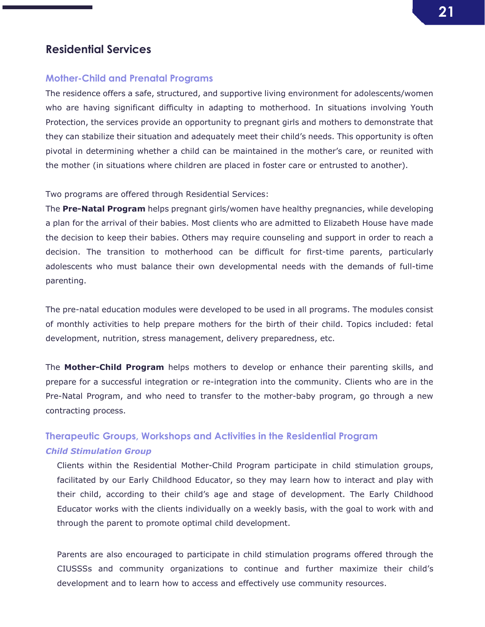### Residential Services

### Mother-Child and Prenatal Programs

The residence offers a safe, structured, and supportive living environment for adolescents/women who are having significant difficulty in adapting to motherhood. In situations involving Youth Protection, the services provide an opportunity to pregnant girls and mothers to demonstrate that they can stabilize their situation and adequately meet their child's needs. This opportunity is often pivotal in determining whether a child can be maintained in the mother's care, or reunited with the mother (in situations where children are placed in foster care or entrusted to another).

Two programs are offered through Residential Services:

The **Pre-Natal Program** helps pregnant girls/women have healthy pregnancies, while developing a plan for the arrival of their babies. Most clients who are admitted to Elizabeth House have made the decision to keep their babies. Others may require counseling and support in order to reach a decision. The transition to motherhood can be difficult for first-time parents, particularly adolescents who must balance their own developmental needs with the demands of full-time parenting.

The pre-natal education modules were developed to be used in all programs. The modules consist of monthly activities to help prepare mothers for the birth of their child. Topics included: fetal development, nutrition, stress management, delivery preparedness, etc.

The **Mother-Child Program** helps mothers to develop or enhance their parenting skills, and prepare for a successful integration or re-integration into the community. Clients who are in the Pre-Natal Program, and who need to transfer to the mother-baby program, go through a new contracting process.

## Therapeutic Groups, Workshops and Activities in the Residential Program *Child Stimulation Group*

Clients within the Residential Mother-Child Program participate in child stimulation groups, facilitated by our Early Childhood Educator, so they may learn how to interact and play with their child, according to their child's age and stage of development. The Early Childhood Educator works with the clients individually on a weekly basis, with the goal to work with and through the parent to promote optimal child development.

Parents are also encouraged to participate in child stimulation programs offered through the CIUSSSs and community organizations to continue and further maximize their child's development and to learn how to access and effectively use community resources.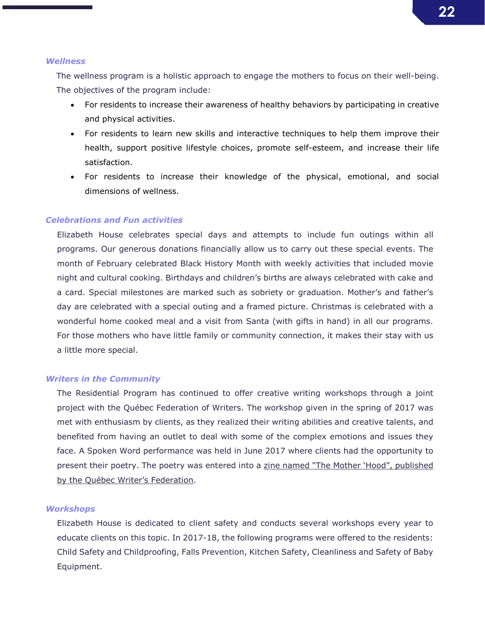#### *Wellness*

The wellness program is a holistic approach to engage the mothers to focus on their well-being. The objectives of the program include:

- For residents to increase their awareness of healthy behaviors by participating in creative and physical activities.
- For residents to learn new skills and interactive techniques to help them improve their health, support positive lifestyle choices, promote self-esteem, and increase their life satisfaction.
- For residents to increase their knowledge of the physical, emotional, and social dimensions of wellness.

### *Celebrations and Fun activities*

Elizabeth House celebrates special days and attempts to include fun outings within all programs. Our generous donations financially allow us to carry out these special events. The month of February celebrated Black History Month with weekly activities that included movie night and cultural cooking. Birthdays and children's births are always celebrated with cake and a card. Special milestones are marked such as sobriety or graduation. Mother's and father's day are celebrated with a special outing and a framed picture. Christmas is celebrated with a wonderful home cooked meal and a visit from Santa (with gifts in hand) in all our programs. For those mothers who have little family or community connection, it makes their stay with us a little more special.

### *Writers in the Community*

The Residential Program has continued to offer creative writing workshops through a joint project with the Québec Federation of Writers. The workshop given in the spring of 2017 was met with enthusiasm by clients, as they realized their writing abilities and creative talents, and benefited from having an outlet to deal with some of the complex emotions and issues they face. A Spoken Word performance was held in June 2017 where clients had the opportunity to present their poetry. The poetry was entered into a zine named "The Mother 'Hood", published by the Québec Writer's Federation.

### *Workshops*

Elizabeth House is dedicated to client safety and conducts several workshops every year to educate clients on this topic. In 2017-18, the following programs were offered to the residents: Child Safety and Childproofing, Falls Prevention, Kitchen Safety, Cleanliness and Safety of Baby Equipment.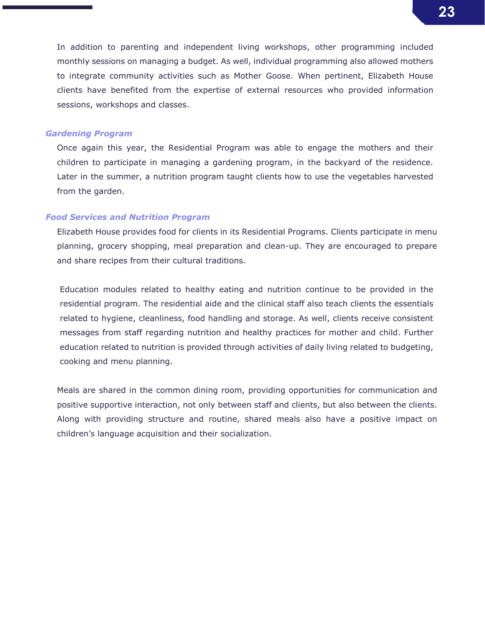In addition to parenting and independent living workshops, other programming included monthly sessions on managing a budget. As well, individual programming also allowed mothers to integrate community activities such as Mother Goose. When pertinent, Elizabeth House clients have benefited from the expertise of external resources who provided information sessions, workshops and classes.

#### *Gardening Program*

Once again this year, the Residential Program was able to engage the mothers and their children to participate in managing a gardening program, in the backyard of the residence. Later in the summer, a nutrition program taught clients how to use the vegetables harvested from the garden.

#### *Food Services and Nutrition Program*

Elizabeth House provides food for clients in its Residential Programs. Clients participate in menu planning, grocery shopping, meal preparation and clean-up. They are encouraged to prepare and share recipes from their cultural traditions.

Education modules related to healthy eating and nutrition continue to be provided in the residential program. The residential aide and the clinical staff also teach clients the essentials related to hygiene, cleanliness, food handling and storage. As well, clients receive consistent messages from staff regarding nutrition and healthy practices for mother and child. Further education related to nutrition is provided through activities of daily living related to budgeting, cooking and menu planning.

Meals are shared in the common dining room, providing opportunities for communication and positive supportive interaction, not only between staff and clients, but also between the clients. Along with providing structure and routine, shared meals also have a positive impact on children's language acquisition and their socialization.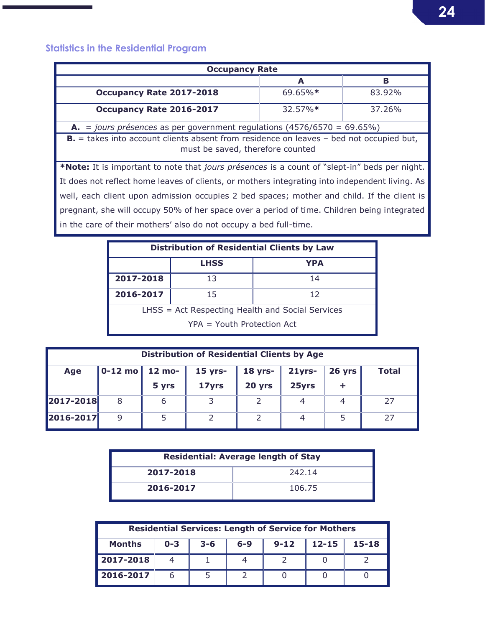## Statistics in the Residential Program

г

| <b>Occupancy Rate</b>                                                                                                                  |         |        |  |  |  |
|----------------------------------------------------------------------------------------------------------------------------------------|---------|--------|--|--|--|
|                                                                                                                                        | A       | в      |  |  |  |
| Occupancy Rate 2017-2018                                                                                                               | 69.65%* | 83.92% |  |  |  |
| Occupancy Rate 2016-2017                                                                                                               | 32.57%* | 37.26% |  |  |  |
| <b>A.</b> = jours présences as per government regulations (4576/6570 = 69.65%)                                                         |         |        |  |  |  |
| <b>B.</b> $=$ takes into account clients absent from residence on leaves $-$ bed not occupied but,<br>must be saved, therefore counted |         |        |  |  |  |
| *Note: It is important to note that jours présences is a count of "slept-in" beds per night.                                           |         |        |  |  |  |
| It does not reflect home leaves of clients, or mothers integrating into independent living. As                                         |         |        |  |  |  |
| well, each client upon admission occupies 2 bed spaces; mother and child. If the client is                                             |         |        |  |  |  |
| pregnant, she will occupy 50% of her space over a period of time. Children being integrated                                            |         |        |  |  |  |
| in the care of their mothers' also do not occupy a bed full-time.                                                                      |         |        |  |  |  |

| <b>Distribution of Residential Clients by Law</b> |  |    |  |  |  |
|---------------------------------------------------|--|----|--|--|--|
| <b>LHSS</b><br><b>YPA</b>                         |  |    |  |  |  |
| 2017-2018<br>13                                   |  | 14 |  |  |  |
| 2016-2017<br>15                                   |  | 12 |  |  |  |
| LHSS = Act Respecting Health and Social Services  |  |    |  |  |  |
| $YPA = Youth$ Protection Act                      |  |    |  |  |  |

| <b>Distribution of Residential Clients by Age</b> |                                                                                           |       |       |        |       |  |  |
|---------------------------------------------------|-------------------------------------------------------------------------------------------|-------|-------|--------|-------|--|--|
| Age                                               | 0-12 mo $\vert$ 12 mo-<br><b>Total</b><br>$15$ yrs-<br>$18$ yrs-<br>$21$ yrs-<br>$26$ yrs |       |       |        |       |  |  |
|                                                   |                                                                                           | 5 yrs | 17yrs | 20 yrs | 25yrs |  |  |
| 2017-2018                                         |                                                                                           |       |       |        |       |  |  |
| 2016-2017                                         | q                                                                                         |       |       |        |       |  |  |

| <b>Residential: Average length of Stay</b> |        |  |  |  |
|--------------------------------------------|--------|--|--|--|
| 2017-2018<br>242.14                        |        |  |  |  |
| 2016-2017                                  | 106.75 |  |  |  |

| <b>Residential Services: Length of Service for Mothers</b> |         |         |         |          |           |           |
|------------------------------------------------------------|---------|---------|---------|----------|-----------|-----------|
| <b>Months</b>                                              | $0 - 3$ | $3 - 6$ | $6 - 9$ | $9 - 12$ | $12 - 15$ | $15 - 18$ |
| 2017-2018                                                  |         |         |         |          |           |           |
| 2016-2017                                                  |         |         |         |          |           |           |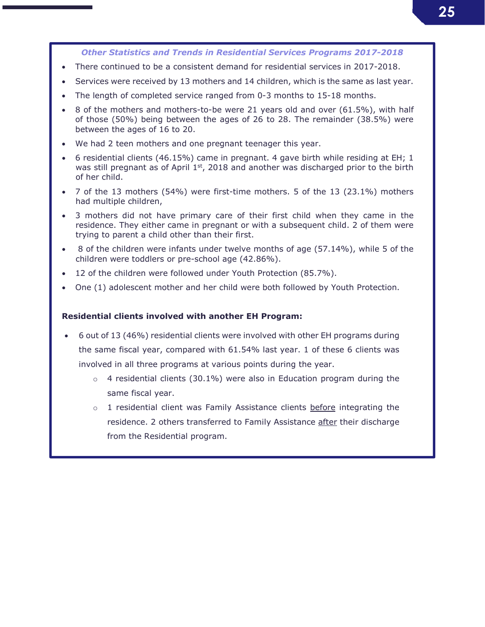### *Other Statistics and Trends in Residential Services Programs 2017-2018*

- There continued to be a consistent demand for residential services in 2017-2018.
- Services were received by 13 mothers and 14 children, which is the same as last year.
- The length of completed service ranged from 0-3 months to 15-18 months.
- 8 of the mothers and mothers-to-be were 21 years old and over (61.5%), with half of those (50%) being between the ages of 26 to 28. The remainder (38.5%) were between the ages of 16 to 20.
- We had 2 teen mothers and one pregnant teenager this year.
- 6 residential clients (46.15%) came in pregnant. 4 gave birth while residing at EH; 1 was still pregnant as of April  $1<sup>st</sup>$ , 2018 and another was discharged prior to the birth of her child.
- 7 of the 13 mothers (54%) were first-time mothers. 5 of the 13 (23.1%) mothers had multiple children,
- 3 mothers did not have primary care of their first child when they came in the residence. They either came in pregnant or with a subsequent child. 2 of them were trying to parent a child other than their first.
- 8 of the children were infants under twelve months of age (57.14%), while 5 of the children were toddlers or pre-school age (42.86%).
- 12 of the children were followed under Youth Protection (85.7%).
- One (1) adolescent mother and her child were both followed by Youth Protection.

#### Residential clients involved with another EH Program:

- 6 out of 13 (46%) residential clients were involved with other EH programs during the same fiscal year, compared with 61.54% last year. 1 of these 6 clients was involved in all three programs at various points during the year.
	- $\circ$  4 residential clients (30.1%) were also in Education program during the same fiscal year.
	- $\circ$  1 residential client was Family Assistance clients before integrating the residence. 2 others transferred to Family Assistance after their discharge from the Residential program.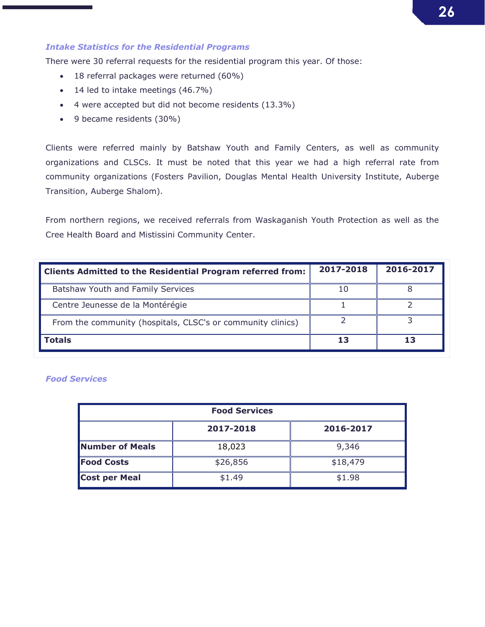### *Intake Statistics for the Residential Programs*

There were 30 referral requests for the residential program this year. Of those:

- 18 referral packages were returned (60%)
- 14 led to intake meetings (46.7%)
- 4 were accepted but did not become residents (13.3%)
- 9 became residents (30%)

Clients were referred mainly by Batshaw Youth and Family Centers, as well as community organizations and CLSCs. It must be noted that this year we had a high referral rate from community organizations (Fosters Pavilion, Douglas Mental Health University Institute, Auberge Transition, Auberge Shalom).

From northern regions, we received referrals from Waskaganish Youth Protection as well as the Cree Health Board and Mistissini Community Center.

| <b>Clients Admitted to the Residential Program referred from:</b> | 2017-2018 | 2016-2017 |
|-------------------------------------------------------------------|-----------|-----------|
| Batshaw Youth and Family Services                                 |           |           |
| Centre Jeunesse de la Montérégie                                  |           |           |
| From the community (hospitals, CLSC's or community clinics)       |           |           |
| <b>Totals</b>                                                     | 13        | 13        |

### *Food Services*

| <b>Food Services</b>          |        |          |  |  |  |  |
|-------------------------------|--------|----------|--|--|--|--|
| 2017-2018<br>2016-2017        |        |          |  |  |  |  |
| Number of Meals               | 18,023 | 9,346    |  |  |  |  |
| <b>Food Costs</b><br>\$26,856 |        | \$18,479 |  |  |  |  |
| Cost per Meal                 | \$1.49 | \$1.98   |  |  |  |  |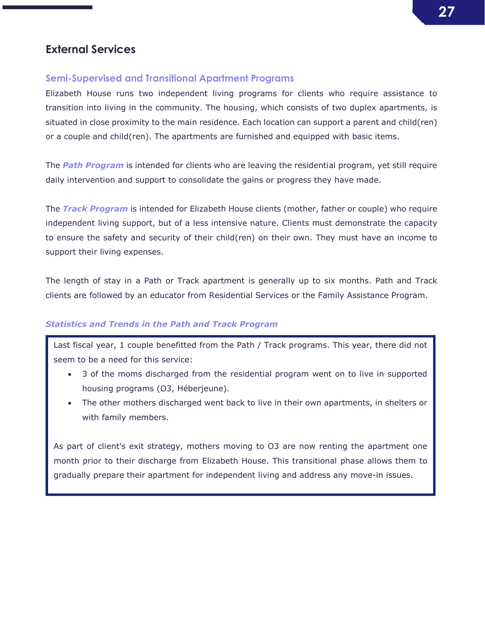## External Services

### Semi-Supervised and Transitional Apartment Programs

Elizabeth House runs two independent living programs for clients who require assistance to transition into living in the community. The housing, which consists of two duplex apartments, is situated in close proximity to the main residence. Each location can support a parent and child(ren) or a couple and child(ren). The apartments are furnished and equipped with basic items.

The *Path Program* is intended for clients who are leaving the residential program, yet still require daily intervention and support to consolidate the gains or progress they have made.

The *Track Program* is intended for Elizabeth House clients (mother, father or couple) who require independent living support, but of a less intensive nature. Clients must demonstrate the capacity to ensure the safety and security of their child(ren) on their own. They must have an income to support their living expenses.

The length of stay in a Path or Track apartment is generally up to six months. Path and Track clients are followed by an educator from Residential Services or the Family Assistance Program.

### *Statistics and Trends in the Path and Track Program*

Last fiscal year, 1 couple benefitted from the Path / Track programs. This year, there did not seem to be a need for this service:

- 3 of the moms discharged from the residential program went on to live in supported housing programs (O3, Héberjeune).
- The other mothers discharged went back to live in their own apartments, in shelters or with family members.

As part of client's exit strategy, mothers moving to O3 are now renting the apartment one month prior to their discharge from Elizabeth House. This transitional phase allows them to gradually prepare their apartment for independent living and address any move-in issues.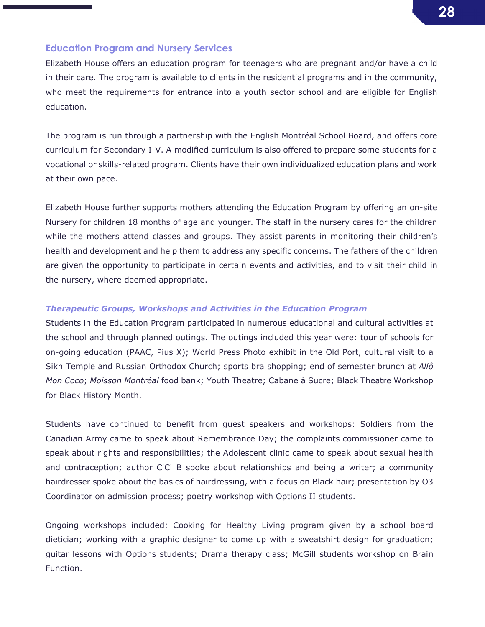

### Education Program and Nursery Services

Elizabeth House offers an education program for teenagers who are pregnant and/or have a child in their care. The program is available to clients in the residential programs and in the community, who meet the requirements for entrance into a youth sector school and are eligible for English education.

The program is run through a partnership with the English Montréal School Board, and offers core curriculum for Secondary I-V. A modified curriculum is also offered to prepare some students for a vocational or skills-related program. Clients have their own individualized education plans and work at their own pace.

Elizabeth House further supports mothers attending the Education Program by offering an on-site Nursery for children 18 months of age and younger. The staff in the nursery cares for the children while the mothers attend classes and groups. They assist parents in monitoring their children's health and development and help them to address any specific concerns. The fathers of the children are given the opportunity to participate in certain events and activities, and to visit their child in the nursery, where deemed appropriate.

### *Therapeutic Groups, Workshops and Activities in the Education Program*

Students in the Education Program participated in numerous educational and cultural activities at the school and through planned outings. The outings included this year were: tour of schools for on-going education (PAAC, Pius X); World Press Photo exhibit in the Old Port, cultural visit to a Sikh Temple and Russian Orthodox Church; sports bra shopping; end of semester brunch at *Allô Mon Coco*; *Moisson Montréal* food bank; Youth Theatre; Cabane à Sucre; Black Theatre Workshop for Black History Month.

Students have continued to benefit from guest speakers and workshops: Soldiers from the Canadian Army came to speak about Remembrance Day; the complaints commissioner came to speak about rights and responsibilities; the Adolescent clinic came to speak about sexual health and contraception; author CiCi B spoke about relationships and being a writer; a community hairdresser spoke about the basics of hairdressing, with a focus on Black hair; presentation by O3 Coordinator on admission process; poetry workshop with Options II students.

Ongoing workshops included: Cooking for Healthy Living program given by a school board dietician; working with a graphic designer to come up with a sweatshirt design for graduation; guitar lessons with Options students; Drama therapy class; McGill students workshop on Brain Function.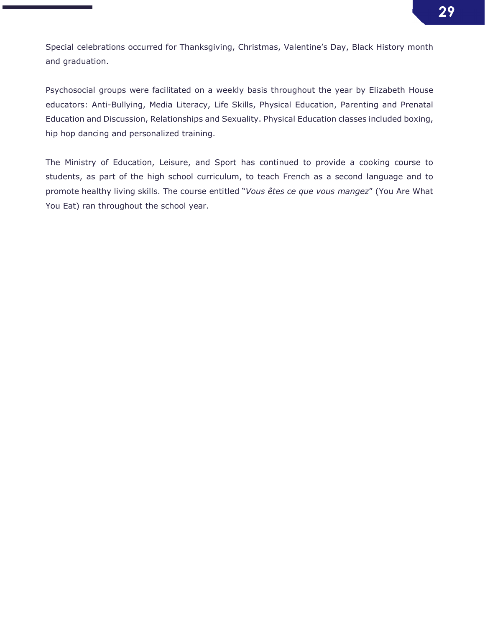Special celebrations occurred for Thanksgiving, Christmas, Valentine's Day, Black History month and graduation.

Psychosocial groups were facilitated on a weekly basis throughout the year by Elizabeth House educators: Anti-Bullying, Media Literacy, Life Skills, Physical Education, Parenting and Prenatal Education and Discussion, Relationships and Sexuality. Physical Education classes included boxing, hip hop dancing and personalized training.

The Ministry of Education, Leisure, and Sport has continued to provide a cooking course to students, as part of the high school curriculum, to teach French as a second language and to promote healthy living skills. The course entitled "*Vous êtes ce que vous mangez*" (You Are What You Eat) ran throughout the school year.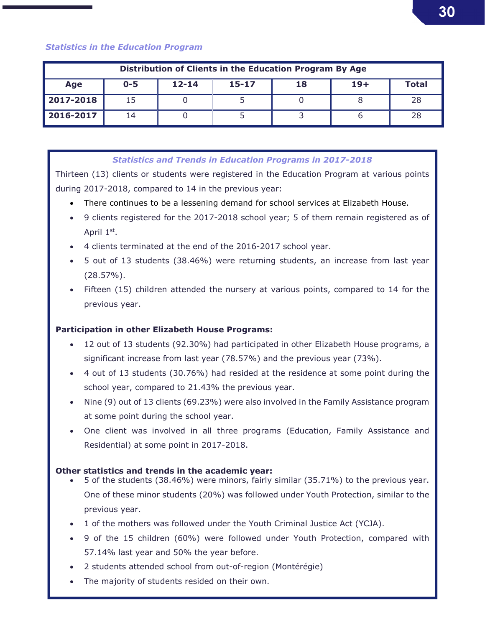### *Statistics in the Education Program*

| Distribution of Clients in the Education Program By Age |         |           |           |    |       |       |
|---------------------------------------------------------|---------|-----------|-----------|----|-------|-------|
| Age                                                     | $0 - 5$ | $12 - 14$ | $15 - 17$ | 18 | $19+$ | Total |
| 2017-2018                                               | 15      |           |           |    |       | 28    |
| 2016-2017                                               | 14      |           |           |    |       |       |

### *Statistics and Trends in Education Programs in 2017-2018*

Thirteen (13) clients or students were registered in the Education Program at various points during 2017-2018, compared to 14 in the previous year:

- There continues to be a lessening demand for school services at Elizabeth House.
- 9 clients registered for the 2017-2018 school year; 5 of them remain registered as of April 1st.
- 4 clients terminated at the end of the 2016-2017 school year.
- 5 out of 13 students (38.46%) were returning students, an increase from last year (28.57%).
- Fifteen (15) children attended the nursery at various points, compared to 14 for the previous year.

### Participation in other Elizabeth House Programs:

- 12 out of 13 students (92.30%) had participated in other Elizabeth House programs, a significant increase from last year (78.57%) and the previous year (73%).
- 4 out of 13 students (30.76%) had resided at the residence at some point during the school year, compared to 21.43% the previous year.
- Nine (9) out of 13 clients (69.23%) were also involved in the Family Assistance program at some point during the school year.
- One client was involved in all three programs (Education, Family Assistance and Residential) at some point in 2017-2018.

### Other statistics and trends in the academic year:

- 5 of the students (38.46%) were minors, fairly similar (35.71%) to the previous year. One of these minor students (20%) was followed under Youth Protection, similar to the previous year.
- 1 of the mothers was followed under the Youth Criminal Justice Act (YCJA).
- 9 of the 15 children (60%) were followed under Youth Protection, compared with 57.14% last year and 50% the year before.
- 2 students attended school from out-of-region (Montérégie)
- The majority of students resided on their own.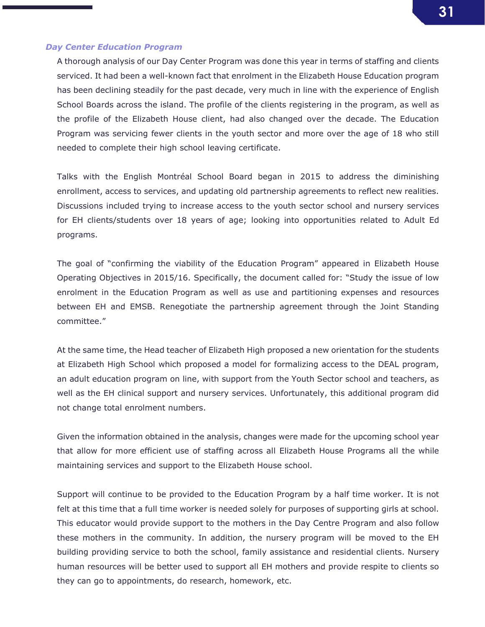### *Day Center Education Program*

A thorough analysis of our Day Center Program was done this year in terms of staffing and clients serviced. It had been a well-known fact that enrolment in the Elizabeth House Education program has been declining steadily for the past decade, very much in line with the experience of English School Boards across the island. The profile of the clients registering in the program, as well as the profile of the Elizabeth House client, had also changed over the decade. The Education Program was servicing fewer clients in the youth sector and more over the age of 18 who still needed to complete their high school leaving certificate.

Talks with the English Montréal School Board began in 2015 to address the diminishing enrollment, access to services, and updating old partnership agreements to reflect new realities. Discussions included trying to increase access to the youth sector school and nursery services for EH clients/students over 18 years of age; looking into opportunities related to Adult Ed programs.

The goal of "confirming the viability of the Education Program" appeared in Elizabeth House Operating Objectives in 2015/16. Specifically, the document called for: "Study the issue of low enrolment in the Education Program as well as use and partitioning expenses and resources between EH and EMSB. Renegotiate the partnership agreement through the Joint Standing committee."

At the same time, the Head teacher of Elizabeth High proposed a new orientation for the students at Elizabeth High School which proposed a model for formalizing access to the DEAL program, an adult education program on line, with support from the Youth Sector school and teachers, as well as the EH clinical support and nursery services. Unfortunately, this additional program did not change total enrolment numbers.

Given the information obtained in the analysis, changes were made for the upcoming school year that allow for more efficient use of staffing across all Elizabeth House Programs all the while maintaining services and support to the Elizabeth House school.

Support will continue to be provided to the Education Program by a half time worker. It is not felt at this time that a full time worker is needed solely for purposes of supporting girls at school. This educator would provide support to the mothers in the Day Centre Program and also follow these mothers in the community. In addition, the nursery program will be moved to the EH building providing service to both the school, family assistance and residential clients. Nursery human resources will be better used to support all EH mothers and provide respite to clients so they can go to appointments, do research, homework, etc.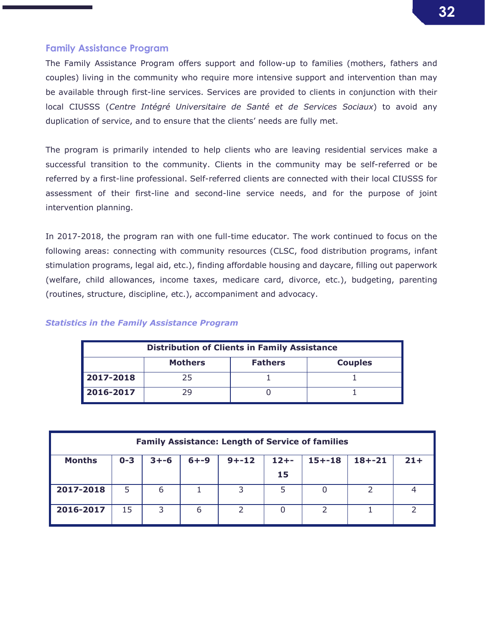### Family Assistance Program

The Family Assistance Program offers support and follow-up to families (mothers, fathers and couples) living in the community who require more intensive support and intervention than may be available through first-line services. Services are provided to clients in conjunction with their local CIUSSS (*Centre Intégré Universitaire de Santé et de Services Sociaux*) to avoid any duplication of service, and to ensure that the clients' needs are fully met.

The program is primarily intended to help clients who are leaving residential services make a successful transition to the community. Clients in the community may be self-referred or be referred by a first-line professional. Self-referred clients are connected with their local CIUSSS for assessment of their first-line and second-line service needs, and for the purpose of joint intervention planning.

In 2017-2018, the program ran with one full-time educator. The work continued to focus on the following areas: connecting with community resources (CLSC, food distribution programs, infant stimulation programs, legal aid, etc.), finding affordable housing and daycare, filling out paperwork (welfare, child allowances, income taxes, medicare card, divorce, etc.), budgeting, parenting (routines, structure, discipline, etc.), accompaniment and advocacy.

### *Statistics in the Family Assistance Program*

| <b>Distribution of Clients in Family Assistance</b> |    |  |  |  |  |  |  |  |
|-----------------------------------------------------|----|--|--|--|--|--|--|--|
| <b>Mothers</b><br><b>Fathers</b><br><b>Couples</b>  |    |  |  |  |  |  |  |  |
| 2017-2018                                           | 25 |  |  |  |  |  |  |  |
| 2016-2017                                           | 29 |  |  |  |  |  |  |  |

| <b>Family Assistance: Length of Service of families</b> |         |          |          |           |          |            |            |       |
|---------------------------------------------------------|---------|----------|----------|-----------|----------|------------|------------|-------|
| <b>Months</b>                                           | $0 - 3$ | $3 + -6$ | $6 + -9$ | $9 + -12$ | $12 + -$ | $15 + -18$ | $18 + -21$ | $21+$ |
|                                                         |         |          |          |           | 15       |            |            |       |
| 2017-2018                                               | 5       | 6        |          |           |          |            |            |       |
| 2016-2017                                               | 15      |          | 6        |           |          |            |            |       |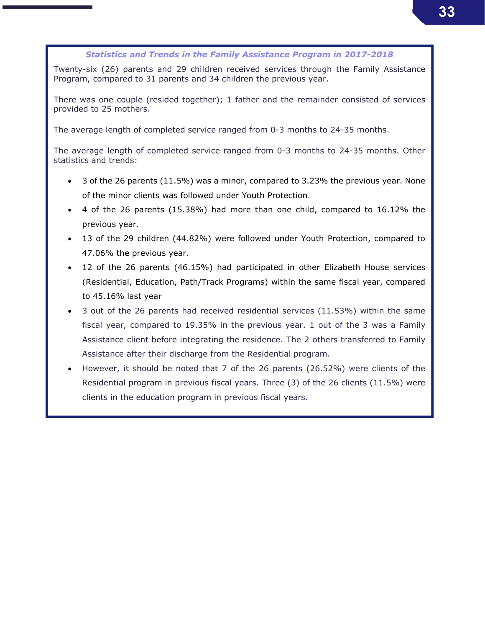### *Statistics and Trends in the Family Assistance Program in 2017-2018*

Twenty-six (26) parents and 29 children received services through the Family Assistance Program, compared to 31 parents and 34 children the previous year.

There was one couple (resided together); 1 father and the remainder consisted of services provided to 25 mothers.

The average length of completed service ranged from 0-3 months to 24-35 months.

The average length of completed service ranged from 0-3 months to 24-35 months. Other statistics and trends:

- 3 of the 26 parents (11.5%) was a minor, compared to 3.23% the previous year. None of the minor clients was followed under Youth Protection.
- 4 of the 26 parents (15.38%) had more than one child, compared to 16.12% the previous year.
- 13 of the 29 children (44.82%) were followed under Youth Protection, compared to 47.06% the previous year.
- 12 of the 26 parents (46.15%) had participated in other Elizabeth House services (Residential, Education, Path/Track Programs) within the same fiscal year, compared to 45.16% last year
- 3 out of the 26 parents had received residential services (11.53%) within the same fiscal year, compared to 19.35% in the previous year. 1 out of the 3 was a Family Assistance client before integrating the residence. The 2 others transferred to Family Assistance after their discharge from the Residential program.
- However, it should be noted that 7 of the 26 parents (26.52%) were clients of the Residential program in previous fiscal years. Three (3) of the 26 clients (11.5%) were clients in the education program in previous fiscal years.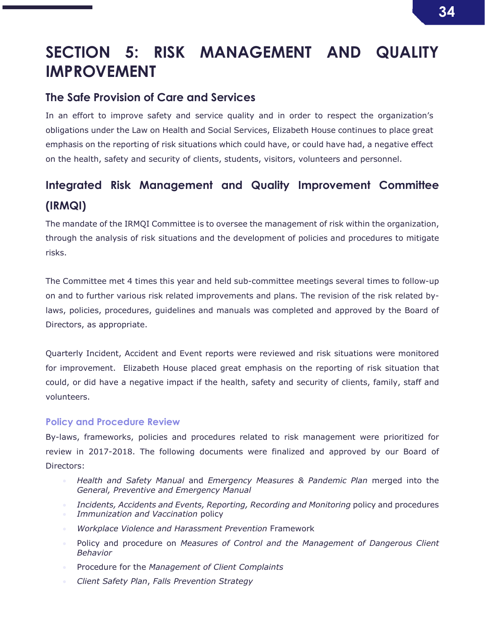## SECTION 5: RISK MANAGEMENT AND QUALITY IMPROVEMENT

## The Safe Provision of Care and Services

In an effort to improve safety and service quality and in order to respect the organization's obligations under the Law on Health and Social Services, Elizabeth House continues to place great emphasis on the reporting of risk situations which could have, or could have had, a negative effect on the health, safety and security of clients, students, visitors, volunteers and personnel.

## Integrated Risk Management and Quality Improvement Committee (IRMQI)

The mandate of the IRMQI Committee is to oversee the management of risk within the organization, through the analysis of risk situations and the development of policies and procedures to mitigate risks.

The Committee met 4 times this year and held sub-committee meetings several times to follow-up on and to further various risk related improvements and plans. The revision of the risk related bylaws, policies, procedures, guidelines and manuals was completed and approved by the Board of Directors, as appropriate.

Quarterly Incident, Accident and Event reports were reviewed and risk situations were monitored for improvement. Elizabeth House placed great emphasis on the reporting of risk situation that could, or did have a negative impact if the health, safety and security of clients, family, staff and volunteers.

### Policy and Procedure Review

By-laws, frameworks, policies and procedures related to risk management were prioritized for review in 2017-2018. The following documents were finalized and approved by our Board of Directors:

- *Health and Safety Manual* and *Emergency Measures & Pandemic Plan* merged into the *General, Preventive and Emergency Manual*
- **Incidents, Accidents and Events, Reporting, Recording and Monitoring policy and procedures**
- *Immunization and Vaccination* policy
- *Workplace Violence and Harassment Prevention* Framework
- Policy and procedure on *Measures of Control and the Management of Dangerous Client Behavior*
- Procedure for the *Management of Client Complaints*
- *Client Safety Plan*, *Falls Prevention Strategy*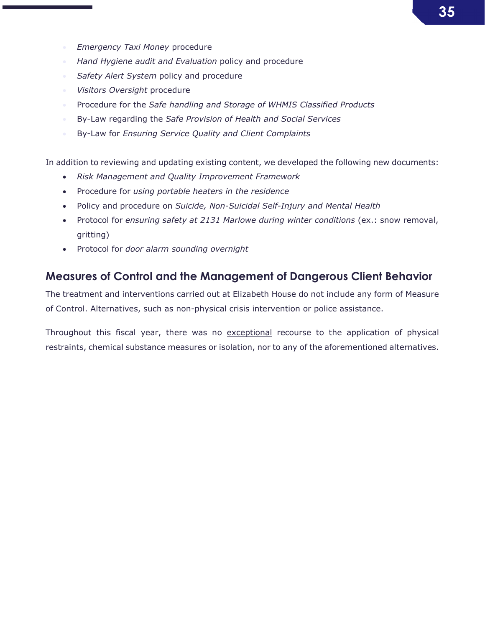- *Emergency Taxi Money* procedure
- *Hand Hygiene audit and Evaluation* policy and procedure
- *Safety Alert System* policy and procedure
- *Visitors Oversight* procedure
- **Procedure for the Safe handling and Storage of WHMIS Classified Products**
- By-Law regarding the *Safe Provision of Health and Social Services*
- By-Law for *Ensuring Service Quality and Client Complaints*

In addition to reviewing and updating existing content, we developed the following new documents:

- *Risk Management and Quality Improvement Framework*
- Procedure for *using portable heaters in the residence*
- Policy and procedure on *Suicide, Non-Suicidal Self-Injury and Mental Health*
- Protocol for *ensuring safety at 2131 Marlowe during winter conditions* (ex.: snow removal, gritting)
- Protocol for *door alarm sounding overnight*

### Measures of Control and the Management of Dangerous Client Behavior

The treatment and interventions carried out at Elizabeth House do not include any form of Measure of Control. Alternatives, such as non-physical crisis intervention or police assistance.

Throughout this fiscal year, there was no exceptional recourse to the application of physical restraints, chemical substance measures or isolation, nor to any of the aforementioned alternatives.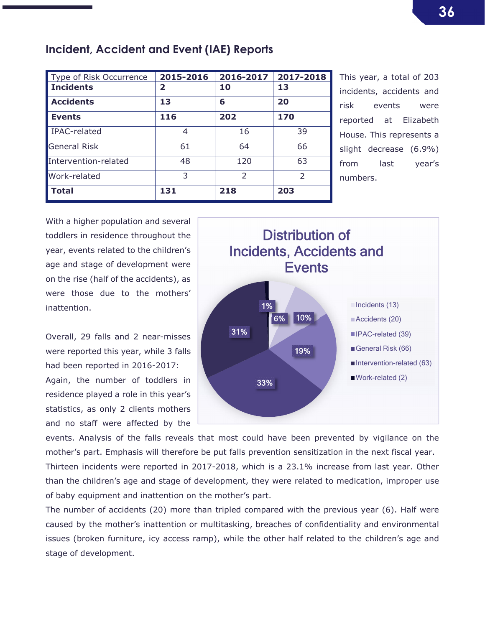| Type of Risk Occurrence | 2015-2016 | 2016-2017     | 2017-2018     |
|-------------------------|-----------|---------------|---------------|
| <b>Incidents</b>        | 2         | 10            | 13            |
| <b>Accidents</b>        | 13        | 6             | 20            |
| <b>Events</b>           | 116       | 202           | 170           |
| IPAC-related            | 4         | 16            | 39            |
| <b>General Risk</b>     | 61        | 64            | 66            |
| Intervention-related    | 48        | 120           | 63            |
| Work-related            | 3         | $\mathcal{P}$ | $\mathcal{P}$ |
| <b>Total</b>            | 131       | 218           | 203           |

Incident, Accident and Event (IAE) Reports

This year, a total of 203 incidents, accidents and risk events were reported at Elizabeth House. This represents a slight decrease (6.9%) from last year's numbers.

With a higher population and several toddlers in residence throughout the year, events related to the children's age and stage of development were on the rise (half of the accidents), as were those due to the mothers' inattention.

Overall, 29 falls and 2 near-misses were reported this year, while 3 falls had been reported in 2016-2017: Again, the number of toddlers in residence played a role in this year's statistics, as only 2 clients mothers and no staff were affected by the



events. Analysis of the falls reveals that most could have been prevented by vigilance on the mother's part. Emphasis will therefore be put falls prevention sensitization in the next fiscal year.

Thirteen incidents were reported in 2017-2018, which is a 23.1% increase from last year. Other than the children's age and stage of development, they were related to medication, improper use of baby equipment and inattention on the mother's part.

The number of accidents (20) more than tripled compared with the previous year (6). Half were caused by the mother's inattention or multitasking, breaches of confidentiality and environmental issues (broken furniture, icy access ramp), while the other half related to the children's age and stage of development.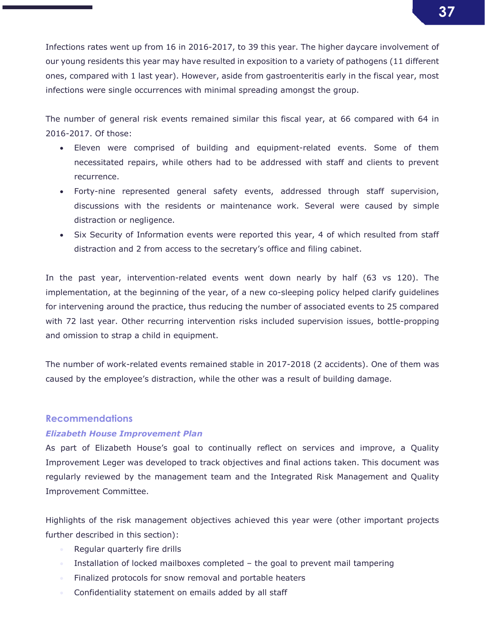Infections rates went up from 16 in 2016-2017, to 39 this year. The higher daycare involvement of our young residents this year may have resulted in exposition to a variety of pathogens (11 different ones, compared with 1 last year). However, aside from gastroenteritis early in the fiscal year, most infections were single occurrences with minimal spreading amongst the group.

The number of general risk events remained similar this fiscal year, at 66 compared with 64 in 2016-2017. Of those:

- Eleven were comprised of building and equipment-related events. Some of them necessitated repairs, while others had to be addressed with staff and clients to prevent recurrence.
- Forty-nine represented general safety events, addressed through staff supervision, discussions with the residents or maintenance work. Several were caused by simple distraction or negligence.
- Six Security of Information events were reported this year, 4 of which resulted from staff distraction and 2 from access to the secretary's office and filing cabinet.

In the past year, intervention-related events went down nearly by half (63 vs 120). The implementation, at the beginning of the year, of a new co-sleeping policy helped clarify guidelines for intervening around the practice, thus reducing the number of associated events to 25 compared with 72 last year. Other recurring intervention risks included supervision issues, bottle-propping and omission to strap a child in equipment.

The number of work-related events remained stable in 2017-2018 (2 accidents). One of them was caused by the employee's distraction, while the other was a result of building damage.

### Recommendations

### *Elizabeth House Improvement Plan*

As part of Elizabeth House's goal to continually reflect on services and improve, a Quality Improvement Leger was developed to track objectives and final actions taken. This document was regularly reviewed by the management team and the Integrated Risk Management and Quality Improvement Committee.

Highlights of the risk management objectives achieved this year were (other important projects further described in this section):

- Regular quarterly fire drills
- Installation of locked mailboxes completed the goal to prevent mail tampering
- **Finalized protocols for snow removal and portable heaters**
- **Confidentiality statement on emails added by all staff**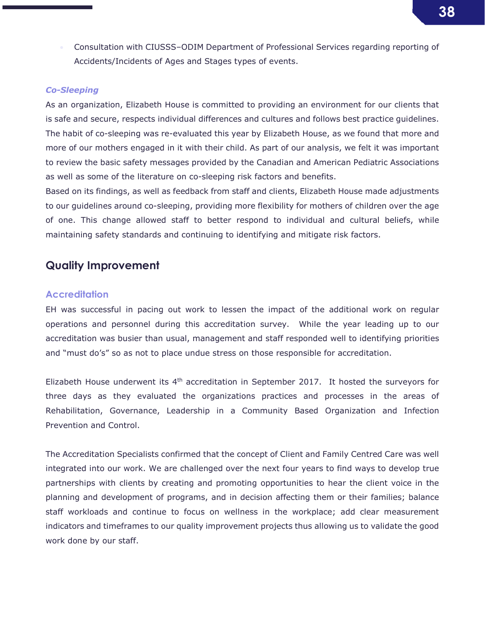Consultation with CIUSSS–ODIM Department of Professional Services regarding reporting of Accidents/Incidents of Ages and Stages types of events.

### *Co-Sleeping*

As an organization, Elizabeth House is committed to providing an environment for our clients that is safe and secure, respects individual differences and cultures and follows best practice guidelines. The habit of co-sleeping was re-evaluated this year by Elizabeth House, as we found that more and more of our mothers engaged in it with their child. As part of our analysis, we felt it was important to review the basic safety messages provided by the Canadian and American Pediatric Associations as well as some of the literature on co-sleeping risk factors and benefits.

Based on its findings, as well as feedback from staff and clients, Elizabeth House made adjustments to our guidelines around co-sleeping, providing more flexibility for mothers of children over the age of one. This change allowed staff to better respond to individual and cultural beliefs, while maintaining safety standards and continuing to identifying and mitigate risk factors.

### Quality Improvement

### **Accreditation**

EH was successful in pacing out work to lessen the impact of the additional work on regular operations and personnel during this accreditation survey. While the year leading up to our accreditation was busier than usual, management and staff responded well to identifying priorities and "must do's" so as not to place undue stress on those responsible for accreditation.

Elizabeth House underwent its 4th accreditation in September 2017. It hosted the surveyors for three days as they evaluated the organizations practices and processes in the areas of Rehabilitation, Governance, Leadership in a Community Based Organization and Infection Prevention and Control.

The Accreditation Specialists confirmed that the concept of Client and Family Centred Care was well integrated into our work. We are challenged over the next four years to find ways to develop true partnerships with clients by creating and promoting opportunities to hear the client voice in the planning and development of programs, and in decision affecting them or their families; balance staff workloads and continue to focus on wellness in the workplace; add clear measurement indicators and timeframes to our quality improvement projects thus allowing us to validate the good work done by our staff.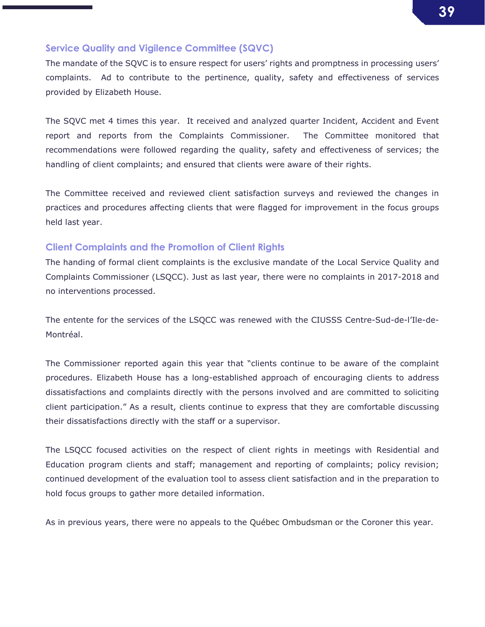### Service Quality and Vigilence Committee (SQVC)

The mandate of the SQVC is to ensure respect for users' rights and promptness in processing users' complaints. Ad to contribute to the pertinence, quality, safety and effectiveness of services provided by Elizabeth House.

The SQVC met 4 times this year. It received and analyzed quarter Incident, Accident and Event report and reports from the Complaints Commissioner. The Committee monitored that recommendations were followed regarding the quality, safety and effectiveness of services; the handling of client complaints; and ensured that clients were aware of their rights.

The Committee received and reviewed client satisfaction surveys and reviewed the changes in practices and procedures affecting clients that were flagged for improvement in the focus groups held last year.

### Client Complaints and the Promotion of Client Rights

The handing of formal client complaints is the exclusive mandate of the Local Service Quality and Complaints Commissioner (LSQCC). Just as last year, there were no complaints in 2017-2018 and no interventions processed.

The entente for the services of the LSQCC was renewed with the CIUSSS Centre-Sud-de-l'Ile-de-Montréal.

The Commissioner reported again this year that "clients continue to be aware of the complaint procedures. Elizabeth House has a long-established approach of encouraging clients to address dissatisfactions and complaints directly with the persons involved and are committed to soliciting client participation." As a result, clients continue to express that they are comfortable discussing their dissatisfactions directly with the staff or a supervisor.

The LSQCC focused activities on the respect of client rights in meetings with Residential and Education program clients and staff; management and reporting of complaints; policy revision; continued development of the evaluation tool to assess client satisfaction and in the preparation to hold focus groups to gather more detailed information.

As in previous years, there were no appeals to the Québec Ombudsman or the Coroner this year.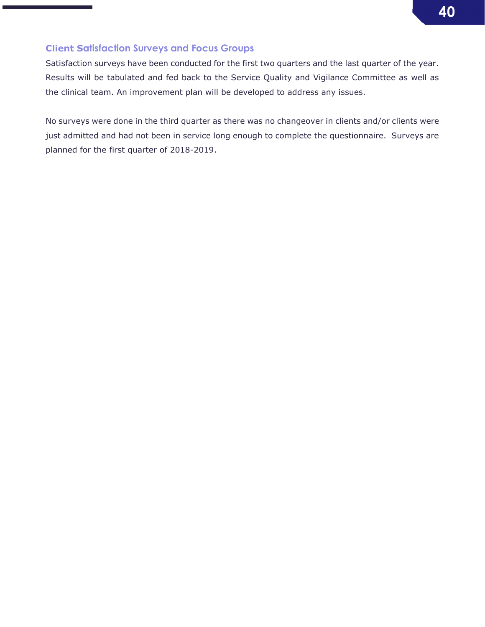

### Client Satisfaction Surveys and Focus Groups

Satisfaction surveys have been conducted for the first two quarters and the last quarter of the year. Results will be tabulated and fed back to the Service Quality and Vigilance Committee as well as the clinical team. An improvement plan will be developed to address any issues.

No surveys were done in the third quarter as there was no changeover in clients and/or clients were just admitted and had not been in service long enough to complete the questionnaire. Surveys are planned for the first quarter of 2018-2019.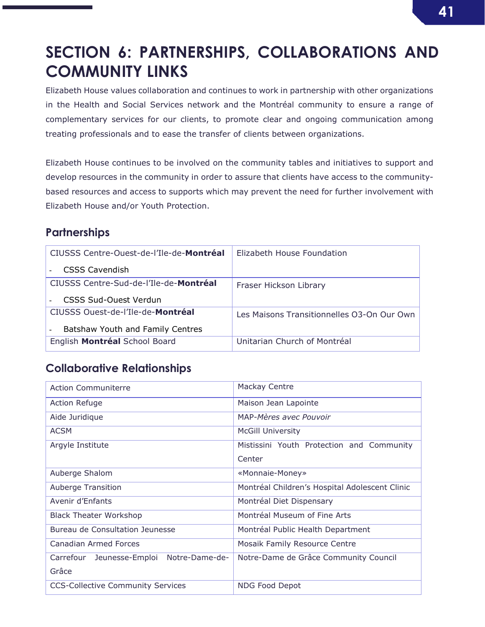## SECTION 6: PARTNERSHIPS, COLLABORATIONS AND COMMUNITY LINKS

Elizabeth House values collaboration and continues to work in partnership with other organizations in the Health and Social Services network and the Montréal community to ensure a range of complementary services for our clients, to promote clear and ongoing communication among treating professionals and to ease the transfer of clients between organizations.

Elizabeth House continues to be involved on the community tables and initiatives to support and develop resources in the community in order to assure that clients have access to the communitybased resources and access to supports which may prevent the need for further involvement with Elizabeth House and/or Youth Protection.

## **Partnerships**

| CIUSSS Centre-Ouest-de-l'Ile-de-Montréal | Elizabeth House Foundation                 |
|------------------------------------------|--------------------------------------------|
| <b>CSSS Cavendish</b>                    |                                            |
| CIUSSS Centre-Sud-de-l'Ile-de-Montréal   | Fraser Hickson Library                     |
| CSSS Sud-Ouest Verdun                    |                                            |
| CIUSSS Ouest-de-l'Ile-de-Montréal        | Les Maisons Transitionnelles O3-On Our Own |
| Batshaw Youth and Family Centres         |                                            |
| English Montréal School Board            | Unitarian Church of Montréal               |

## Collaborative Relationships

| <b>Action Communiterre</b>                  | Mackay Centre                                  |  |  |
|---------------------------------------------|------------------------------------------------|--|--|
| <b>Action Refuge</b>                        | Maison Jean Lapointe                           |  |  |
| Aide Juridique                              | MAP-Mères avec Pouvoir                         |  |  |
| <b>ACSM</b>                                 | <b>McGill University</b>                       |  |  |
| Argyle Institute                            | Mistissini Youth Protection and Community      |  |  |
|                                             | Center                                         |  |  |
| Auberge Shalom                              | «Monnaie-Money»                                |  |  |
| <b>Auberge Transition</b>                   | Montréal Children's Hospital Adolescent Clinic |  |  |
| Avenir d'Enfants                            | Montréal Diet Dispensary                       |  |  |
| <b>Black Theater Workshop</b>               | Montréal Museum of Fine Arts                   |  |  |
| Bureau de Consultation Jeunesse             | Montréal Public Health Department              |  |  |
| Canadian Armed Forces                       | Mosaik Family Resource Centre                  |  |  |
| Notre-Dame-de-<br>Carrefour Jeunesse-Emploi | Notre-Dame de Grâce Community Council          |  |  |
| Grâce                                       |                                                |  |  |
| <b>CCS-Collective Community Services</b>    | <b>NDG Food Depot</b>                          |  |  |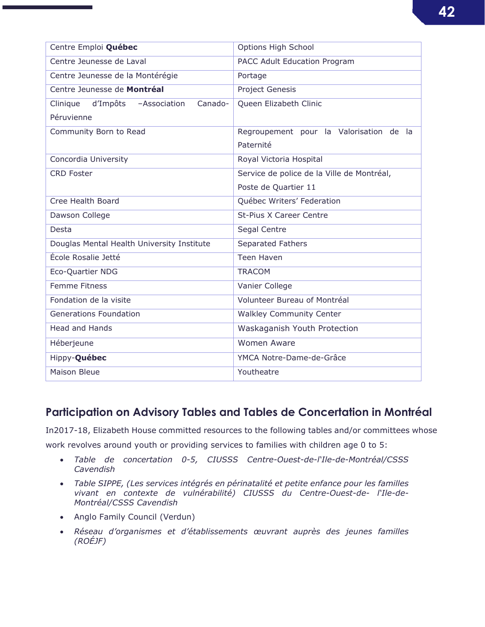| Centre Emploi Québec                       | <b>Options High School</b>                 |  |  |  |
|--------------------------------------------|--------------------------------------------|--|--|--|
| Centre Jeunesse de Laval                   | PACC Adult Education Program               |  |  |  |
| Centre Jeunesse de la Montérégie           | Portage                                    |  |  |  |
| Centre Jeunesse de Montréal                | <b>Project Genesis</b>                     |  |  |  |
| Clinique d'Impôts - Association<br>Canado- | Queen Elizabeth Clinic                     |  |  |  |
| Péruvienne                                 |                                            |  |  |  |
| Community Born to Read                     | Regroupement pour la Valorisation de la    |  |  |  |
|                                            | Paternité                                  |  |  |  |
| Concordia University                       | Royal Victoria Hospital                    |  |  |  |
| <b>CRD Foster</b>                          | Service de police de la Ville de Montréal, |  |  |  |
|                                            | Poste de Quartier 11                       |  |  |  |
| Cree Health Board                          | Québec Writers' Federation                 |  |  |  |
| Dawson College                             | <b>St-Pius X Career Centre</b>             |  |  |  |
| Desta                                      | Segal Centre                               |  |  |  |
| Douglas Mental Health University Institute | Separated Fathers                          |  |  |  |
| École Rosalie Jetté                        | <b>Teen Haven</b>                          |  |  |  |
| Eco-Quartier NDG                           | <b>TRACOM</b>                              |  |  |  |
| <b>Femme Fitness</b>                       | Vanier College                             |  |  |  |
| Fondation de la visite                     | Volunteer Bureau of Montréal               |  |  |  |
| <b>Generations Foundation</b>              | <b>Walkley Community Center</b>            |  |  |  |
| <b>Head and Hands</b>                      | Waskaganish Youth Protection               |  |  |  |
| Héberjeune                                 | <b>Women Aware</b>                         |  |  |  |
| Hippy-Québec                               | YMCA Notre-Dame-de-Grâce                   |  |  |  |
| <b>Maison Bleue</b>                        | Youtheatre                                 |  |  |  |

## Participation on Advisory Tables and Tables de Concertation in Montréal

In2017-18, Elizabeth House committed resources to the following tables and/or committees whose work revolves around youth or providing services to families with children age 0 to 5:

- *Table de concertation 0-5, CIUSSS Centre-Ouest-de-l'Ile-de-Montréal/CSSS Cavendish*
- *Table SIPPE, (Les services intégrés en périnatalité et petite enfance pour les familles vivant en contexte de vulnérabilité) CIUSSS du Centre-Ouest-de- l'Ile-de-Montréal/CSSS Cavendish*
- Anglo Family Council (Verdun)
- *Réseau d'organismes et d'établissements œuvrant auprès des jeunes familles (ROÉJF)*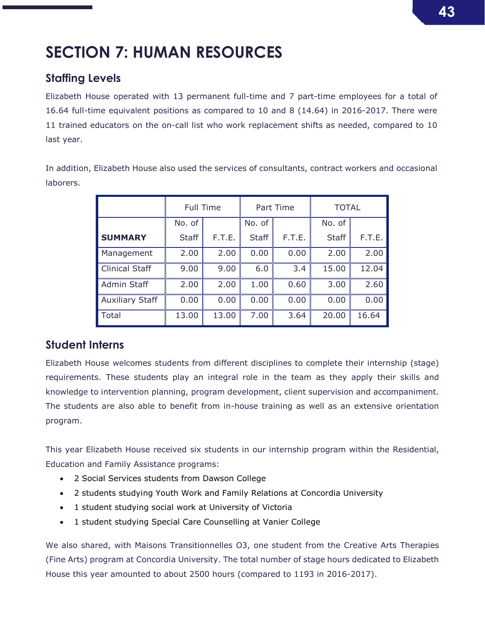## SECTION 7: HUMAN RESOURCES

## Staffing Levels

Elizabeth House operated with 13 permanent full-time and 7 part-time employees for a total of 16.64 full-time equivalent positions as compared to 10 and 8 (14.64) in 2016-2017. There were 11 trained educators on the on-call list who work replacement shifts as needed, compared to 10 last year.

In addition, Elizabeth House also used the services of consultants, contract workers and occasional laborers.

|                        | Full Time    |        | Part Time    |        | <b>TOTAL</b> |        |
|------------------------|--------------|--------|--------------|--------|--------------|--------|
|                        | No. of       |        | No. of       |        | No. of       |        |
| <b>SUMMARY</b>         | <b>Staff</b> | F.T.E. | <b>Staff</b> | F.T.E. | <b>Staff</b> | F.T.E. |
| Management             | 2.00         | 2.00   | 0.00         | 0.00   | 2.00         | 2.00   |
| <b>Clinical Staff</b>  | 9.00         | 9.00   | 6.0          | 3.4    | 15.00        | 12.04  |
| Admin Staff            | 2.00         | 2.00   | 1.00         | 0.60   | 3.00         | 2.60   |
| <b>Auxiliary Staff</b> | 0.00         | 0.00   | 0.00         | 0.00   | 0.00         | 0.00   |
| <b>Total</b>           | 13.00        | 13.00  | 7.00         | 3.64   | 20.00        | 16.64  |

### Student Interns

Elizabeth House welcomes students from different disciplines to complete their internship (stage) requirements. These students play an integral role in the team as they apply their skills and knowledge to intervention planning, program development, client supervision and accompaniment. The students are also able to benefit from in-house training as well as an extensive orientation program.

This year Elizabeth House received six students in our internship program within the Residential, Education and Family Assistance programs:

- 2 Social Services students from Dawson College
- 2 students studying Youth Work and Family Relations at Concordia University
- 1 student studying social work at University of Victoria
- 1 student studying Special Care Counselling at Vanier College

We also shared, with Maisons Transitionnelles O3, one student from the Creative Arts Therapies (Fine Arts) program at Concordia University. The total number of stage hours dedicated to Elizabeth House this year amounted to about 2500 hours (compared to 1193 in 2016-2017).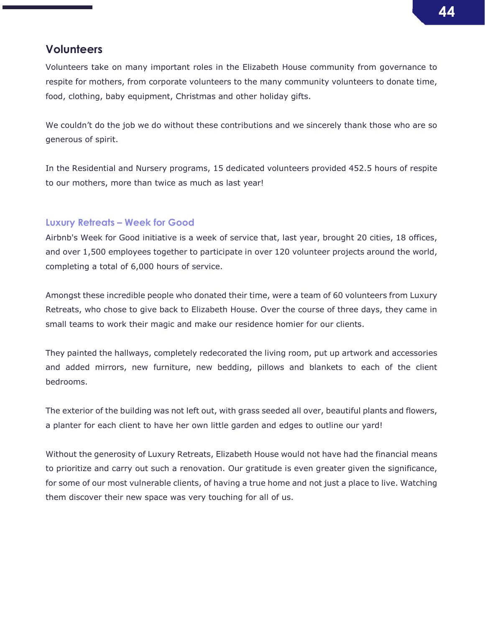## **Volunteers**

Volunteers take on many important roles in the Elizabeth House community from governance to respite for mothers, from corporate volunteers to the many community volunteers to donate time, food, clothing, baby equipment, Christmas and other holiday gifts.

We couldn't do the job we do without these contributions and we sincerely thank those who are so generous of spirit.

In the Residential and Nursery programs, 15 dedicated volunteers provided 452.5 hours of respite to our mothers, more than twice as much as last year!

### Luxury Retreats – Week for Good

Airbnb's Week for Good initiative is a week of service that, last year, brought 20 cities, 18 offices, and over 1,500 employees together to participate in over 120 volunteer projects around the world, completing a total of 6,000 hours of service.

Amongst these incredible people who donated their time, were a team of 60 volunteers from Luxury Retreats, who chose to give back to Elizabeth House. Over the course of three days, they came in small teams to work their magic and make our residence homier for our clients.

They painted the hallways, completely redecorated the living room, put up artwork and accessories and added mirrors, new furniture, new bedding, pillows and blankets to each of the client bedrooms.

The exterior of the building was not left out, with grass seeded all over, beautiful plants and flowers, a planter for each client to have her own little garden and edges to outline our yard!

Without the generosity of Luxury Retreats, Elizabeth House would not have had the financial means to prioritize and carry out such a renovation. Our gratitude is even greater given the significance, for some of our most vulnerable clients, of having a true home and not just a place to live. Watching them discover their new space was very touching for all of us.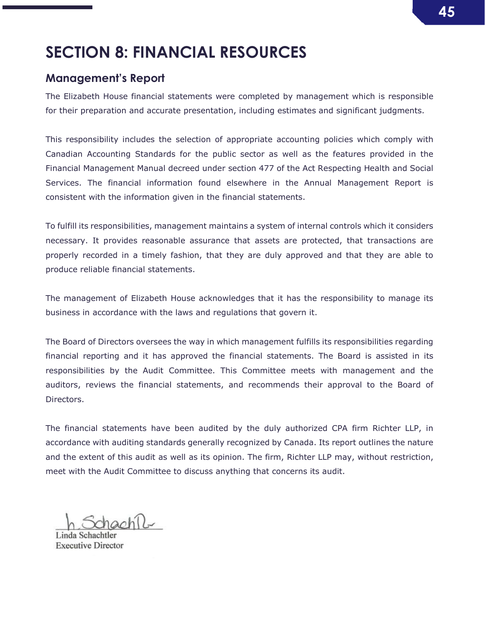## SECTION 8: FINANCIAL RESOURCES

### Management's Report

The Elizabeth House financial statements were completed by management which is responsible for their preparation and accurate presentation, including estimates and significant judgments.

This responsibility includes the selection of appropriate accounting policies which comply with Canadian Accounting Standards for the public sector as well as the features provided in the Financial Management Manual decreed under section 477 of the Act Respecting Health and Social Services. The financial information found elsewhere in the Annual Management Report is consistent with the information given in the financial statements.

To fulfill its responsibilities, management maintains a system of internal controls which it considers necessary. It provides reasonable assurance that assets are protected, that transactions are properly recorded in a timely fashion, that they are duly approved and that they are able to produce reliable financial statements.

The management of Elizabeth House acknowledges that it has the responsibility to manage its business in accordance with the laws and regulations that govern it.

The Board of Directors oversees the way in which management fulfills its responsibilities regarding financial reporting and it has approved the financial statements. The Board is assisted in its responsibilities by the Audit Committee. This Committee meets with management and the auditors, reviews the financial statements, and recommends their approval to the Board of Directors.

The financial statements have been audited by the duly authorized CPA firm Richter LLP, in accordance with auditing standards generally recognized by Canada. Its report outlines the nature and the extent of this audit as well as its opinion. The firm, Richter LLP may, without restriction, meet with the Audit Committee to discuss anything that concerns its audit.

**Executive Director**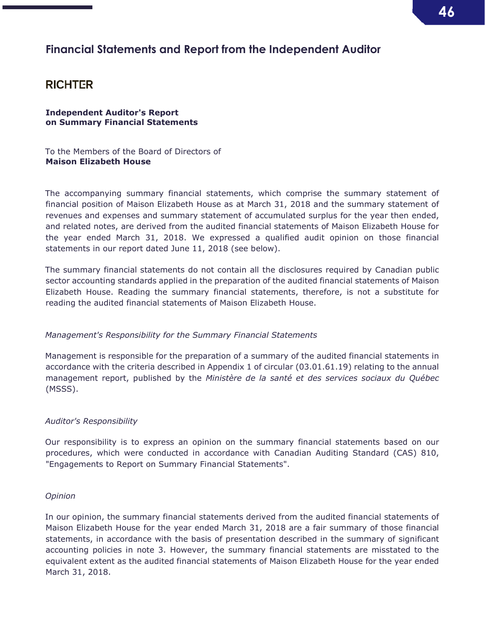## Financial Statements and Report from the Independent Auditor

### **RICHTER**

Independent Auditor's Report on Summary Financial Statements

To the Members of the Board of Directors of Maison Elizabeth House

The accompanying summary financial statements, which comprise the summary statement of financial position of Maison Elizabeth House as at March 31, 2018 and the summary statement of revenues and expenses and summary statement of accumulated surplus for the year then ended, and related notes, are derived from the audited financial statements of Maison Elizabeth House for the year ended March 31, 2018. We expressed a qualified audit opinion on those financial statements in our report dated June 11, 2018 (see below).

The summary financial statements do not contain all the disclosures required by Canadian public sector accounting standards applied in the preparation of the audited financial statements of Maison Elizabeth House. Reading the summary financial statements, therefore, is not a substitute for reading the audited financial statements of Maison Elizabeth House.

### *Management's Responsibility for the Summary Financial Statements*

Management is responsible for the preparation of a summary of the audited financial statements in accordance with the criteria described in Appendix 1 of circular (03.01.61.19) relating to the annual management report, published by the *Ministère de la santé et des services sociaux du Québec* (MSSS).

### *Auditor's Responsibility*

Our responsibility is to express an opinion on the summary financial statements based on our procedures, which were conducted in accordance with Canadian Auditing Standard (CAS) 810, "Engagements to Report on Summary Financial Statements".

### *Opinion*

In our opinion, the summary financial statements derived from the audited financial statements of Maison Elizabeth House for the year ended March 31, 2018 are a fair summary of those financial statements, in accordance with the basis of presentation described in the summary of significant accounting policies in note 3. However, the summary financial statements are misstated to the equivalent extent as the audited financial statements of Maison Elizabeth House for the year ended March 31, 2018.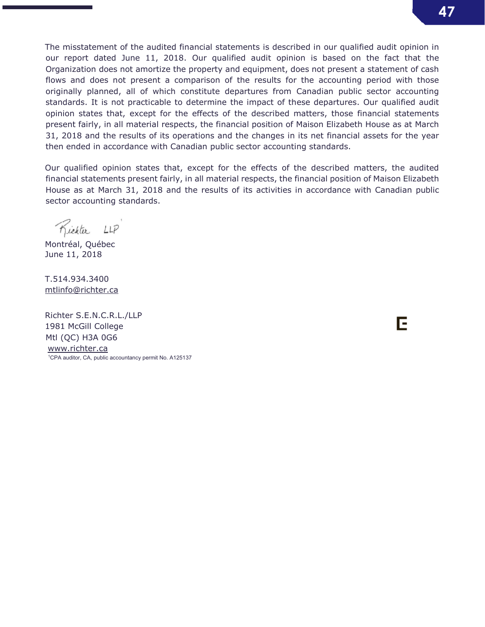The misstatement of the audited financial statements is described in our qualified audit opinion in our report dated June 11, 2018. Our qualified audit opinion is based on the fact that the Organization does not amortize the property and equipment, does not present a statement of cash flows and does not present a comparison of the results for the accounting period with those originally planned, all of which constitute departures from Canadian public sector accounting standards. It is not practicable to determine the impact of these departures. Our qualified audit opinion states that, except for the effects of the described matters, those financial statements present fairly, in all material respects, the financial position of Maison Elizabeth House as at March 31, 2018 and the results of its operations and the changes in its net financial assets for the year then ended in accordance with Canadian public sector accounting standards.

Our qualified opinion states that, except for the effects of the described matters, the audited financial statements present fairly, in all material respects, the financial position of Maison Elizabeth House as at March 31, 2018 and the results of its activities in accordance with Canadian public sector accounting standards.

Kichter LLP

Montréal, Québec June 11, 2018

T.514.934.3400 mtlinfo@richter.ca

Richter S.E.N.C.R.L./LLP 1981 McGill College Mtl (QC) H3A 0G6 www.richter.ca 1 CPA auditor, CA, public accountancy permit No. A125137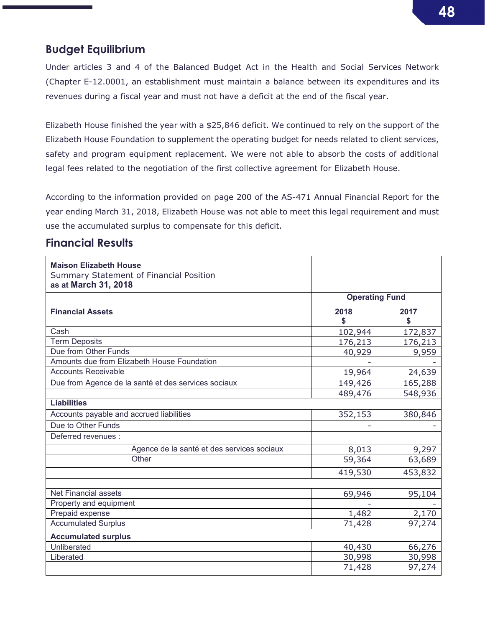## Budget Equilibrium

Under articles 3 and 4 of the Balanced Budget Act in the Health and Social Services Network (Chapter E-12.0001, an establishment must maintain a balance between its expenditures and its revenues during a fiscal year and must not have a deficit at the end of the fiscal year.

Elizabeth House finished the year with a \$25,846 deficit. We continued to rely on the support of the Elizabeth House Foundation to supplement the operating budget for needs related to client services, safety and program equipment replacement. We were not able to absorb the costs of additional legal fees related to the negotiation of the first collective agreement for Elizabeth House.

According to the information provided on page 200 of the AS-471 Annual Financial Report for the year ending March 31, 2018, Elizabeth House was not able to meet this legal requirement and must use the accumulated surplus to compensate for this deficit.

### Financial Results

| <b>Maison Elizabeth House</b><br><b>Summary Statement of Financial Position</b><br>as at March 31, 2018 |                       |            |  |  |
|---------------------------------------------------------------------------------------------------------|-----------------------|------------|--|--|
|                                                                                                         | <b>Operating Fund</b> |            |  |  |
| <b>Financial Assets</b>                                                                                 | 2018<br>\$            | 2017<br>\$ |  |  |
| Cash                                                                                                    | 102,944               | 172,837    |  |  |
| <b>Term Deposits</b>                                                                                    | 176,213               | 176,213    |  |  |
| Due from Other Funds                                                                                    | 40,929                | 9,959      |  |  |
| Amounts due from Elizabeth House Foundation                                                             |                       |            |  |  |
| <b>Accounts Receivable</b>                                                                              | 19,964                | 24,639     |  |  |
| Due from Agence de la santé et des services sociaux                                                     | 149,426               | 165,288    |  |  |
|                                                                                                         | 489,476               | 548,936    |  |  |
| <b>Liabilities</b>                                                                                      |                       |            |  |  |
| Accounts payable and accrued liabilities                                                                | 352,153               | 380,846    |  |  |
| Due to Other Funds                                                                                      |                       |            |  |  |
| Deferred revenues :                                                                                     |                       |            |  |  |
| Agence de la santé et des services sociaux                                                              | 8,013                 | 9,297      |  |  |
| Other                                                                                                   | 59,364                | 63,689     |  |  |
|                                                                                                         | 419,530               | 453,832    |  |  |
|                                                                                                         |                       |            |  |  |
| Net Financial assets                                                                                    | 69,946                | 95,104     |  |  |
| Property and equipment                                                                                  |                       |            |  |  |
| Prepaid expense                                                                                         | 1,482                 | 2,170      |  |  |
| <b>Accumulated Surplus</b>                                                                              | 71,428                | 97,274     |  |  |
| <b>Accumulated surplus</b>                                                                              |                       |            |  |  |
| Unliberated                                                                                             | 40,430                | 66,276     |  |  |
| Liberated                                                                                               | 30,998                | 30,998     |  |  |
|                                                                                                         | 71,428                | 97,274     |  |  |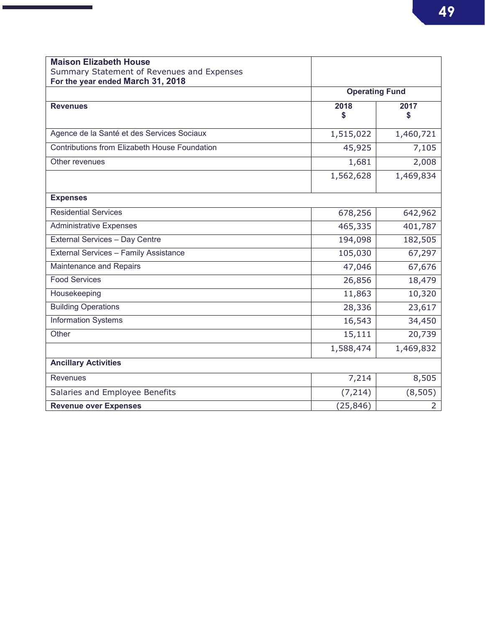| <b>Maison Elizabeth House</b>                 |            |                       |  |  |
|-----------------------------------------------|------------|-----------------------|--|--|
| Summary Statement of Revenues and Expenses    |            |                       |  |  |
| For the year ended March 31, 2018             |            |                       |  |  |
|                                               |            | <b>Operating Fund</b> |  |  |
| <b>Revenues</b>                               | 2018<br>\$ | 2017<br>\$            |  |  |
|                                               |            |                       |  |  |
| Agence de la Santé et des Services Sociaux    | 1,515,022  | 1,460,721             |  |  |
| Contributions from Elizabeth House Foundation | 45,925     | 7,105                 |  |  |
| Other revenues                                | 1,681      | 2,008                 |  |  |
|                                               | 1,562,628  | 1,469,834             |  |  |
| <b>Expenses</b>                               |            |                       |  |  |
| <b>Residential Services</b>                   | 678,256    | 642,962               |  |  |
| <b>Administrative Expenses</b>                | 465,335    | 401,787               |  |  |
| <b>External Services - Day Centre</b>         | 194,098    | 182,505               |  |  |
| <b>External Services - Family Assistance</b>  | 105,030    | 67,297                |  |  |
| <b>Maintenance and Repairs</b>                | 47,046     | 67,676                |  |  |
| <b>Food Services</b>                          | 26,856     | 18,479                |  |  |
| Housekeeping                                  | 11,863     | 10,320                |  |  |
| <b>Building Operations</b>                    | 28,336     | 23,617                |  |  |
| <b>Information Systems</b>                    | 16,543     | 34,450                |  |  |
| Other                                         | 15,111     | 20,739                |  |  |
|                                               | 1,588,474  | 1,469,832             |  |  |
| <b>Ancillary Activities</b>                   |            |                       |  |  |
| Revenues                                      | 7,214      | 8,505                 |  |  |
| Salaries and Employee Benefits                | (7, 214)   | (8, 505)              |  |  |
| <b>Revenue over Expenses</b>                  | (25, 846)  | $\overline{2}$        |  |  |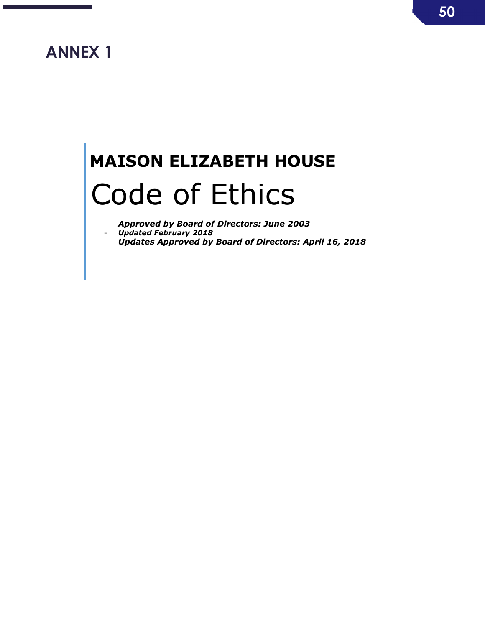## ANNEX 1

۰

п

# MAISON ELIZABETH HOUSE Code of Ethics

- *Approved by Board of Directors: June 2003*
- *Updated February 2018*
- *Updates Approved by Board of Directors: April 16, 2018*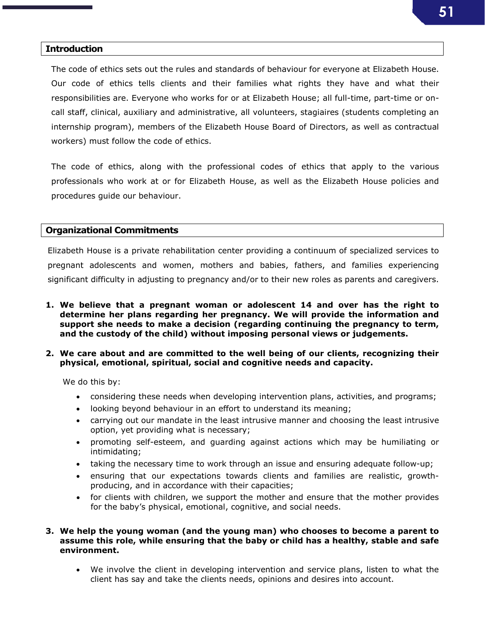#### **Introduction**

The code of ethics sets out the rules and standards of behaviour for everyone at Elizabeth House. Our code of ethics tells clients and their families what rights they have and what their responsibilities are. Everyone who works for or at Elizabeth House; all full-time, part-time or oncall staff, clinical, auxiliary and administrative, all volunteers, stagiaires (students completing an internship program), members of the Elizabeth House Board of Directors, as well as contractual workers) must follow the code of ethics.

The code of ethics, along with the professional codes of ethics that apply to the various professionals who work at or for Elizabeth House, as well as the Elizabeth House policies and procedures guide our behaviour.

### Organizational Commitments

Elizabeth House is a private rehabilitation center providing a continuum of specialized services to pregnant adolescents and women, mothers and babies, fathers, and families experiencing significant difficulty in adjusting to pregnancy and/or to their new roles as parents and caregivers.

- 1. We believe that a pregnant woman or adolescent 14 and over has the right to determine her plans regarding her pregnancy. We will provide the information and support she needs to make a decision (regarding continuing the pregnancy to term, and the custody of the child) without imposing personal views or judgements.
- 2. We care about and are committed to the well being of our clients, recognizing their physical, emotional, spiritual, social and cognitive needs and capacity.

We do this by:

- considering these needs when developing intervention plans, activities, and programs;
- looking beyond behaviour in an effort to understand its meaning;
- carrying out our mandate in the least intrusive manner and choosing the least intrusive option, yet providing what is necessary;
- promoting self-esteem, and guarding against actions which may be humiliating or intimidating;
- taking the necessary time to work through an issue and ensuring adequate follow-up;
- ensuring that our expectations towards clients and families are realistic, growthproducing, and in accordance with their capacities;
- for clients with children, we support the mother and ensure that the mother provides for the baby's physical, emotional, cognitive, and social needs.

### 3. We help the young woman (and the young man) who chooses to become a parent to assume this role, while ensuring that the baby or child has a healthy, stable and safe environment.

 We involve the client in developing intervention and service plans, listen to what the client has say and take the clients needs, opinions and desires into account.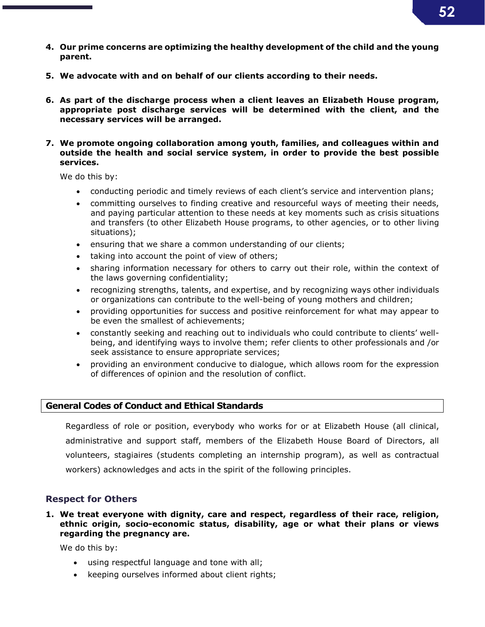- 4. Our prime concerns are optimizing the healthy development of the child and the young parent.
- 5. We advocate with and on behalf of our clients according to their needs.
- 6. As part of the discharge process when a client leaves an Elizabeth House program, appropriate post discharge services will be determined with the client, and the necessary services will be arranged.
- 7. We promote ongoing collaboration among youth, families, and colleagues within and outside the health and social service system, in order to provide the best possible services.

We do this by:

- conducting periodic and timely reviews of each client's service and intervention plans;
- committing ourselves to finding creative and resourceful ways of meeting their needs, and paying particular attention to these needs at key moments such as crisis situations and transfers (to other Elizabeth House programs, to other agencies, or to other living situations);
- ensuring that we share a common understanding of our clients;
- taking into account the point of view of others;
- sharing information necessary for others to carry out their role, within the context of the laws governing confidentiality;
- recognizing strengths, talents, and expertise, and by recognizing ways other individuals or organizations can contribute to the well-being of young mothers and children;
- providing opportunities for success and positive reinforcement for what may appear to be even the smallest of achievements;
- constantly seeking and reaching out to individuals who could contribute to clients' wellbeing, and identifying ways to involve them; refer clients to other professionals and /or seek assistance to ensure appropriate services;
- providing an environment conducive to dialogue, which allows room for the expression of differences of opinion and the resolution of conflict.

### General Codes of Conduct and Ethical Standards

Regardless of role or position, everybody who works for or at Elizabeth House (all clinical, administrative and support staff, members of the Elizabeth House Board of Directors, all volunteers, stagiaires (students completing an internship program), as well as contractual workers) acknowledges and acts in the spirit of the following principles.

### Respect for Others

1. We treat everyone with dignity, care and respect, regardless of their race, religion, ethnic origin, socio-economic status, disability, age or what their plans or views regarding the pregnancy are.

- using respectful language and tone with all;
- keeping ourselves informed about client rights;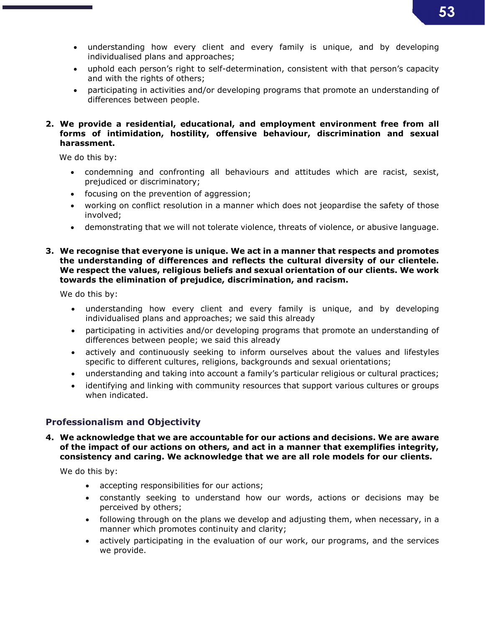- understanding how every client and every family is unique, and by developing individualised plans and approaches;
- uphold each person's right to self-determination, consistent with that person's capacity and with the rights of others;
- participating in activities and/or developing programs that promote an understanding of differences between people.

### 2. We provide a residential, educational, and employment environment free from all forms of intimidation, hostility, offensive behaviour, discrimination and sexual harassment.

We do this by:

- condemning and confronting all behaviours and attitudes which are racist, sexist, prejudiced or discriminatory;
- focusing on the prevention of aggression;
- working on conflict resolution in a manner which does not jeopardise the safety of those involved;
- demonstrating that we will not tolerate violence, threats of violence, or abusive language.

### 3. We recognise that everyone is unique. We act in a manner that respects and promotes the understanding of differences and reflects the cultural diversity of our clientele. We respect the values, religious beliefs and sexual orientation of our clients. We work towards the elimination of prejudice, discrimination, and racism.

We do this by:

- understanding how every client and every family is unique, and by developing individualised plans and approaches; we said this already
- participating in activities and/or developing programs that promote an understanding of differences between people; we said this already
- actively and continuously seeking to inform ourselves about the values and lifestyles specific to different cultures, religions, backgrounds and sexual orientations;
- understanding and taking into account a family's particular religious or cultural practices;
- identifying and linking with community resources that support various cultures or groups when indicated.

### Professionalism and Objectivity

### 4. We acknowledge that we are accountable for our actions and decisions. We are aware of the impact of our actions on others, and act in a manner that exemplifies integrity, consistency and caring. We acknowledge that we are all role models for our clients.

- accepting responsibilities for our actions;
- constantly seeking to understand how our words, actions or decisions may be perceived by others;
- following through on the plans we develop and adjusting them, when necessary, in a manner which promotes continuity and clarity;
- actively participating in the evaluation of our work, our programs, and the services we provide.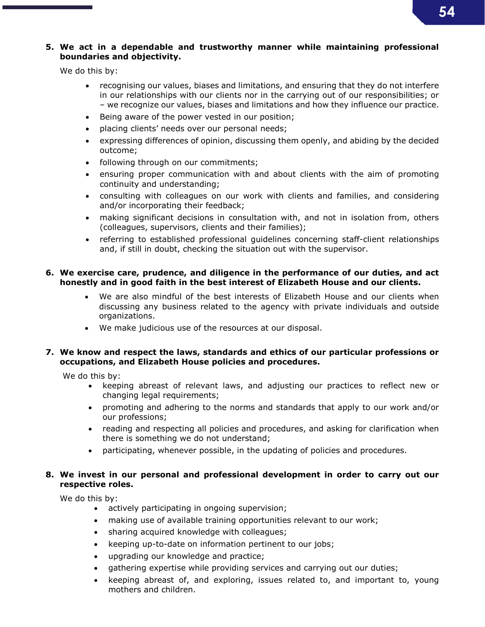## 54

### 5. We act in a dependable and trustworthy manner while maintaining professional boundaries and objectivity.

We do this by:

- recognising our values, biases and limitations, and ensuring that they do not interfere in our relationships with our clients nor in the carrying out of our responsibilities; or – we recognize our values, biases and limitations and how they influence our practice.
- Being aware of the power vested in our position;
- placing clients' needs over our personal needs;
- expressing differences of opinion, discussing them openly, and abiding by the decided outcome;
- following through on our commitments;
- ensuring proper communication with and about clients with the aim of promoting continuity and understanding;
- consulting with colleagues on our work with clients and families, and considering and/or incorporating their feedback;
- making significant decisions in consultation with, and not in isolation from, others (colleagues, supervisors, clients and their families);
- referring to established professional guidelines concerning staff-client relationships and, if still in doubt, checking the situation out with the supervisor.

### 6. We exercise care, prudence, and diligence in the performance of our duties, and act honestly and in good faith in the best interest of Elizabeth House and our clients.

- We are also mindful of the best interests of Elizabeth House and our clients when discussing any business related to the agency with private individuals and outside organizations.
- We make judicious use of the resources at our disposal.

### 7. We know and respect the laws, standards and ethics of our particular professions or occupations, and Elizabeth House policies and procedures.

We do this by:

- keeping abreast of relevant laws, and adjusting our practices to reflect new or changing legal requirements;
- promoting and adhering to the norms and standards that apply to our work and/or our professions;
- reading and respecting all policies and procedures, and asking for clarification when there is something we do not understand;
- participating, whenever possible, in the updating of policies and procedures.

### 8. We invest in our personal and professional development in order to carry out our respective roles.

- actively participating in ongoing supervision;
- making use of available training opportunities relevant to our work;
- sharing acquired knowledge with colleagues;
- keeping up-to-date on information pertinent to our jobs;
- upgrading our knowledge and practice;
- gathering expertise while providing services and carrying out our duties;
- keeping abreast of, and exploring, issues related to, and important to, young mothers and children.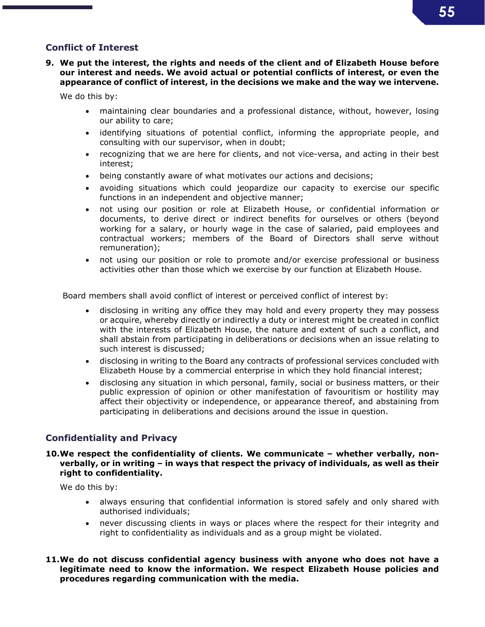### Conflict of Interest

9. We put the interest, the rights and needs of the client and of Elizabeth House before our interest and needs. We avoid actual or potential conflicts of interest, or even the appearance of conflict of interest, in the decisions we make and the way we intervene.

We do this by:

- maintaining clear boundaries and a professional distance, without, however, losing our ability to care;
- identifying situations of potential conflict, informing the appropriate people, and consulting with our supervisor, when in doubt;
- recognizing that we are here for clients, and not vice-versa, and acting in their best interest;
- being constantly aware of what motivates our actions and decisions;
- avoiding situations which could jeopardize our capacity to exercise our specific functions in an independent and objective manner;
- not using our position or role at Elizabeth House, or confidential information or documents, to derive direct or indirect benefits for ourselves or others (beyond working for a salary, or hourly wage in the case of salaried, paid employees and contractual workers; members of the Board of Directors shall serve without remuneration);
- not using our position or role to promote and/or exercise professional or business activities other than those which we exercise by our function at Elizabeth House.

Board members shall avoid conflict of interest or perceived conflict of interest by:

- disclosing in writing any office they may hold and every property they may possess or acquire, whereby directly or indirectly a duty or interest might be created in conflict with the interests of Elizabeth House, the nature and extent of such a conflict, and shall abstain from participating in deliberations or decisions when an issue relating to such interest is discussed;
- disclosing in writing to the Board any contracts of professional services concluded with Elizabeth House by a commercial enterprise in which they hold financial interest;
- disclosing any situation in which personal, family, social or business matters, or their public expression of opinion or other manifestation of favouritism or hostility may affect their objectivity or independence, or appearance thereof, and abstaining from participating in deliberations and decisions around the issue in question.

### Confidentiality and Privacy

### 10.We respect the confidentiality of clients. We communicate – whether verbally, nonverbally, or in writing – in ways that respect the privacy of individuals, as well as their right to confidentiality.

- always ensuring that confidential information is stored safely and only shared with authorised individuals;
- never discussing clients in ways or places where the respect for their integrity and right to confidentiality as individuals and as a group might be violated.
- 11.We do not discuss confidential agency business with anyone who does not have a legitimate need to know the information. We respect Elizabeth House policies and procedures regarding communication with the media.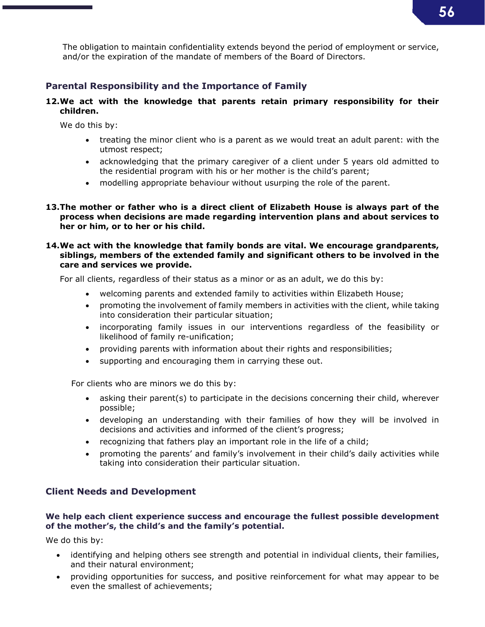The obligation to maintain confidentiality extends beyond the period of employment or service, and/or the expiration of the mandate of members of the Board of Directors.

### Parental Responsibility and the Importance of Family

### 12.We act with the knowledge that parents retain primary responsibility for their children.

We do this by:

- treating the minor client who is a parent as we would treat an adult parent: with the utmost respect;
- acknowledging that the primary caregiver of a client under 5 years old admitted to the residential program with his or her mother is the child's parent;
- modelling appropriate behaviour without usurping the role of the parent.
- 13.The mother or father who is a direct client of Elizabeth House is always part of the process when decisions are made regarding intervention plans and about services to her or him, or to her or his child.

### 14.We act with the knowledge that family bonds are vital. We encourage grandparents, siblings, members of the extended family and significant others to be involved in the care and services we provide.

For all clients, regardless of their status as a minor or as an adult, we do this by:

- welcoming parents and extended family to activities within Elizabeth House;
- promoting the involvement of family members in activities with the client, while taking into consideration their particular situation;
- incorporating family issues in our interventions regardless of the feasibility or likelihood of family re-unification;
- providing parents with information about their rights and responsibilities;
- supporting and encouraging them in carrying these out.

For clients who are minors we do this by:

- asking their parent(s) to participate in the decisions concerning their child, wherever possible;
- developing an understanding with their families of how they will be involved in decisions and activities and informed of the client's progress;
- recognizing that fathers play an important role in the life of a child;
- promoting the parents' and family's involvement in their child's daily activities while taking into consideration their particular situation.

### Client Needs and Development

### We help each client experience success and encourage the fullest possible development of the mother's, the child's and the family's potential.

- identifying and helping others see strength and potential in individual clients, their families, and their natural environment;
- providing opportunities for success, and positive reinforcement for what may appear to be even the smallest of achievements;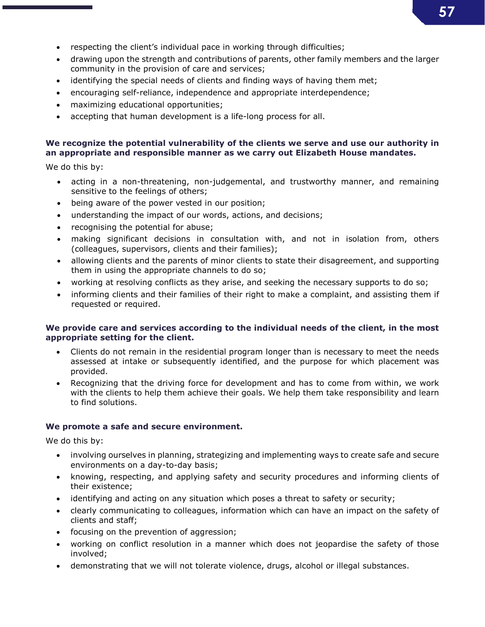- respecting the client's individual pace in working through difficulties;
- drawing upon the strength and contributions of parents, other family members and the larger community in the provision of care and services;
- identifying the special needs of clients and finding ways of having them met;
- encouraging self-reliance, independence and appropriate interdependence;
- maximizing educational opportunities;
- accepting that human development is a life-long process for all.

### We recognize the potential vulnerability of the clients we serve and use our authority in an appropriate and responsible manner as we carry out Elizabeth House mandates.

We do this by:

- acting in a non-threatening, non-judgemental, and trustworthy manner, and remaining sensitive to the feelings of others;
- being aware of the power vested in our position;
- understanding the impact of our words, actions, and decisions;
- recognising the potential for abuse;
- making significant decisions in consultation with, and not in isolation from, others (colleagues, supervisors, clients and their families);
- allowing clients and the parents of minor clients to state their disagreement, and supporting them in using the appropriate channels to do so;
- working at resolving conflicts as they arise, and seeking the necessary supports to do so;
- informing clients and their families of their right to make a complaint, and assisting them if requested or required.

### We provide care and services according to the individual needs of the client, in the most appropriate setting for the client.

- Clients do not remain in the residential program longer than is necessary to meet the needs assessed at intake or subsequently identified, and the purpose for which placement was provided.
- Recognizing that the driving force for development and has to come from within, we work with the clients to help them achieve their goals. We help them take responsibility and learn to find solutions.

### We promote a safe and secure environment.

- involving ourselves in planning, strategizing and implementing ways to create safe and secure environments on a day-to-day basis;
- knowing, respecting, and applying safety and security procedures and informing clients of their existence;
- identifying and acting on any situation which poses a threat to safety or security;
- clearly communicating to colleagues, information which can have an impact on the safety of clients and staff;
- focusing on the prevention of aggression;
- working on conflict resolution in a manner which does not jeopardise the safety of those involved;
- demonstrating that we will not tolerate violence, drugs, alcohol or illegal substances.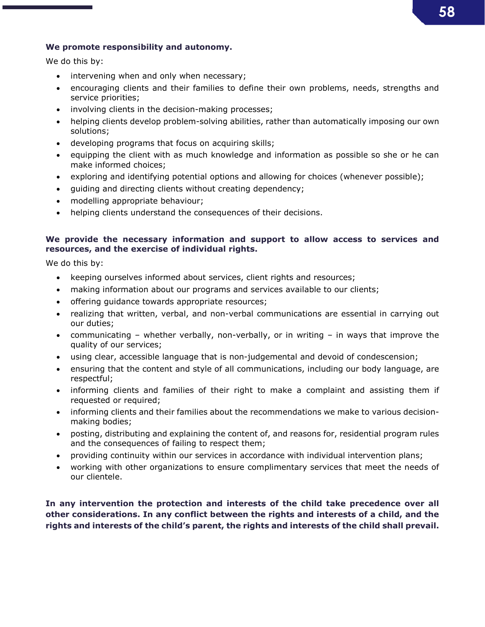### We promote responsibility and autonomy.

We do this by:

- intervening when and only when necessary;
- encouraging clients and their families to define their own problems, needs, strengths and service priorities;
- involving clients in the decision-making processes;
- helping clients develop problem-solving abilities, rather than automatically imposing our own solutions;
- developing programs that focus on acquiring skills;
- equipping the client with as much knowledge and information as possible so she or he can make informed choices;
- exploring and identifying potential options and allowing for choices (whenever possible);
- guiding and directing clients without creating dependency;
- modelling appropriate behaviour;
- helping clients understand the consequences of their decisions.

### We provide the necessary information and support to allow access to services and resources, and the exercise of individual rights.

We do this by:

- keeping ourselves informed about services, client rights and resources;
- making information about our programs and services available to our clients;
- offering guidance towards appropriate resources;
- realizing that written, verbal, and non-verbal communications are essential in carrying out our duties;
- communicating whether verbally, non-verbally, or in writing in ways that improve the quality of our services;
- using clear, accessible language that is non-judgemental and devoid of condescension;
- ensuring that the content and style of all communications, including our body language, are respectful;
- informing clients and families of their right to make a complaint and assisting them if requested or required;
- informing clients and their families about the recommendations we make to various decisionmaking bodies;
- posting, distributing and explaining the content of, and reasons for, residential program rules and the consequences of failing to respect them;
- providing continuity within our services in accordance with individual intervention plans;
- working with other organizations to ensure complimentary services that meet the needs of our clientele.

In any intervention the protection and interests of the child take precedence over all other considerations. In any conflict between the rights and interests of a child, and the rights and interests of the child's parent, the rights and interests of the child shall prevail.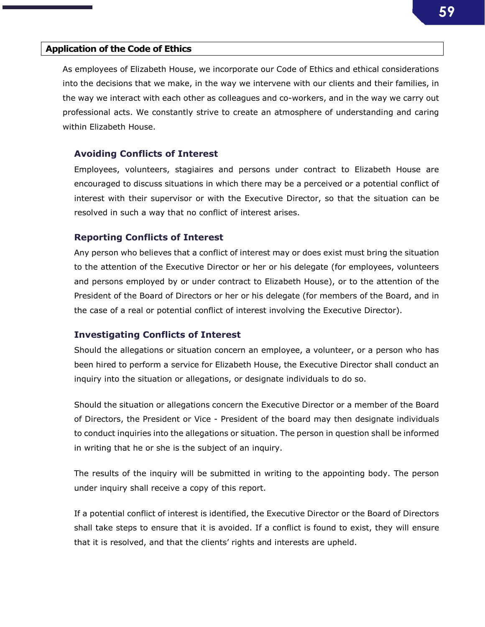#### Application of the Code of Ethics

As employees of Elizabeth House, we incorporate our Code of Ethics and ethical considerations into the decisions that we make, in the way we intervene with our clients and their families, in the way we interact with each other as colleagues and co-workers, and in the way we carry out professional acts. We constantly strive to create an atmosphere of understanding and caring within Elizabeth House.

#### Avoiding Conflicts of Interest

Employees, volunteers, stagiaires and persons under contract to Elizabeth House are encouraged to discuss situations in which there may be a perceived or a potential conflict of interest with their supervisor or with the Executive Director, so that the situation can be resolved in such a way that no conflict of interest arises.

#### Reporting Conflicts of Interest

Any person who believes that a conflict of interest may or does exist must bring the situation to the attention of the Executive Director or her or his delegate (for employees, volunteers and persons employed by or under contract to Elizabeth House), or to the attention of the President of the Board of Directors or her or his delegate (for members of the Board, and in the case of a real or potential conflict of interest involving the Executive Director).

### Investigating Conflicts of Interest

Should the allegations or situation concern an employee, a volunteer, or a person who has been hired to perform a service for Elizabeth House, the Executive Director shall conduct an inquiry into the situation or allegations, or designate individuals to do so.

Should the situation or allegations concern the Executive Director or a member of the Board of Directors, the President or Vice - President of the board may then designate individuals to conduct inquiries into the allegations or situation. The person in question shall be informed in writing that he or she is the subject of an inquiry.

The results of the inquiry will be submitted in writing to the appointing body. The person under inquiry shall receive a copy of this report.

If a potential conflict of interest is identified, the Executive Director or the Board of Directors shall take steps to ensure that it is avoided. If a conflict is found to exist, they will ensure that it is resolved, and that the clients' rights and interests are upheld.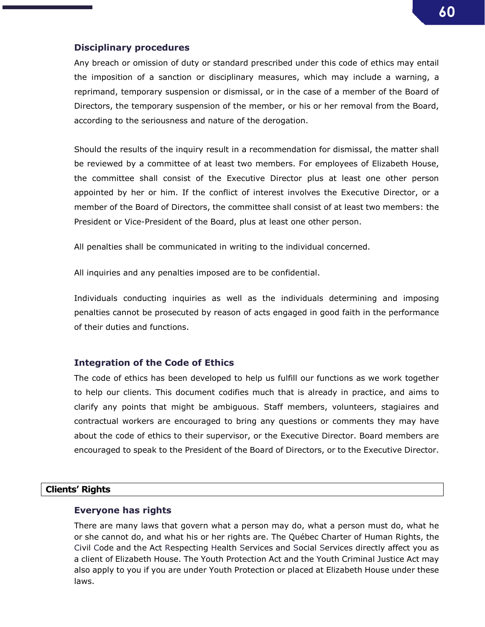### Disciplinary procedures

Any breach or omission of duty or standard prescribed under this code of ethics may entail the imposition of a sanction or disciplinary measures, which may include a warning, a reprimand, temporary suspension or dismissal, or in the case of a member of the Board of Directors, the temporary suspension of the member, or his or her removal from the Board, according to the seriousness and nature of the derogation.

Should the results of the inquiry result in a recommendation for dismissal, the matter shall be reviewed by a committee of at least two members. For employees of Elizabeth House, the committee shall consist of the Executive Director plus at least one other person appointed by her or him. If the conflict of interest involves the Executive Director, or a member of the Board of Directors, the committee shall consist of at least two members: the President or Vice-President of the Board, plus at least one other person.

All penalties shall be communicated in writing to the individual concerned.

All inquiries and any penalties imposed are to be confidential.

Individuals conducting inquiries as well as the individuals determining and imposing penalties cannot be prosecuted by reason of acts engaged in good faith in the performance of their duties and functions.

### Integration of the Code of Ethics

The code of ethics has been developed to help us fulfill our functions as we work together to help our clients. This document codifies much that is already in practice, and aims to clarify any points that might be ambiguous. Staff members, volunteers, stagiaires and contractual workers are encouraged to bring any questions or comments they may have about the code of ethics to their supervisor, or the Executive Director. Board members are encouraged to speak to the President of the Board of Directors, or to the Executive Director.

### Clients' Rights

### Everyone has rights

There are many laws that govern what a person may do, what a person must do, what he or she cannot do, and what his or her rights are. The Québec Charter of Human Rights, the Civil Code and the Act Respecting Health Services and Social Services directly affect you as a client of Elizabeth House. The Youth Protection Act and the Youth Criminal Justice Act may also apply to you if you are under Youth Protection or placed at Elizabeth House under these laws.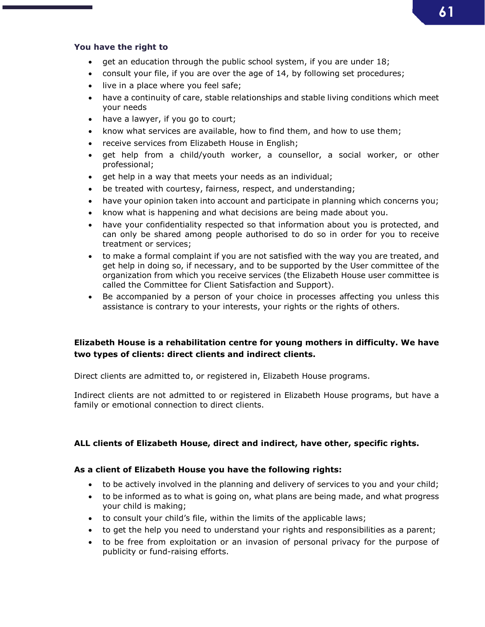## 61

#### You have the right to

- get an education through the public school system, if you are under 18;
- consult your file, if you are over the age of 14, by following set procedures;
- live in a place where you feel safe;
- have a continuity of care, stable relationships and stable living conditions which meet your needs
- have a lawyer, if you go to court;
- know what services are available, how to find them, and how to use them;
- receive services from Elizabeth House in English;
- get help from a child/youth worker, a counsellor, a social worker, or other professional;
- get help in a way that meets your needs as an individual;
- be treated with courtesy, fairness, respect, and understanding;
- have your opinion taken into account and participate in planning which concerns you;
- know what is happening and what decisions are being made about you.
- have your confidentiality respected so that information about you is protected, and can only be shared among people authorised to do so in order for you to receive treatment or services;
- to make a formal complaint if you are not satisfied with the way you are treated, and get help in doing so, if necessary, and to be supported by the User committee of the organization from which you receive services (the Elizabeth House user committee is called the Committee for Client Satisfaction and Support).
- Be accompanied by a person of your choice in processes affecting you unless this assistance is contrary to your interests, your rights or the rights of others.

### Elizabeth House is a rehabilitation centre for young mothers in difficulty. We have two types of clients: direct clients and indirect clients.

Direct clients are admitted to, or registered in, Elizabeth House programs.

Indirect clients are not admitted to or registered in Elizabeth House programs, but have a family or emotional connection to direct clients.

### ALL clients of Elizabeth House, direct and indirect, have other, specific rights.

### As a client of Elizabeth House you have the following rights:

- to be actively involved in the planning and delivery of services to you and your child;
- to be informed as to what is going on, what plans are being made, and what progress your child is making;
- to consult your child's file, within the limits of the applicable laws;
- to get the help you need to understand your rights and responsibilities as a parent;
- to be free from exploitation or an invasion of personal privacy for the purpose of publicity or fund-raising efforts.